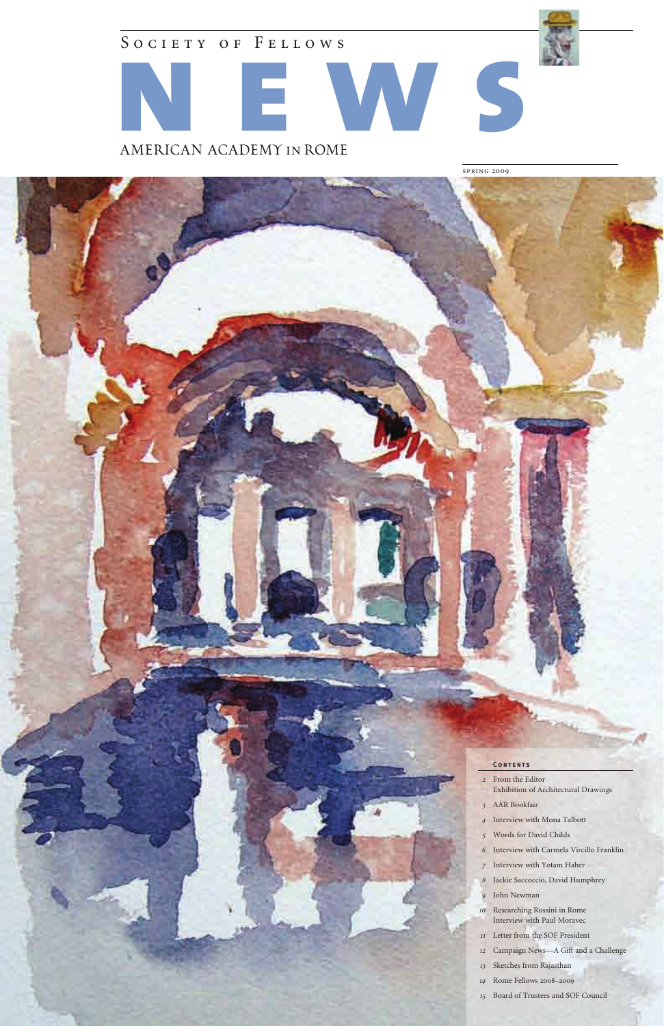SOCIETY OF FELLOWS



spring 2009



#### **CONTENTS**

- From the Editor Exhibition of Architectural Drawings
- AAR Bookfair
- Interview with Mona Talbott
- Words for David Childs
- Interview with Carmela Vircillo Franklin
- Interview with Yotam Haber
- Jackie Saccoccio, David Humphrey
- John Newman
- Researching Rossini in Rome Interview with Paul Moravec
- Letter from the SOF President
- Campaign News—A Gift and a Challenge
- Sketches from Rajasthan
- Rome Fellows 2008–2009
- Board of Trustees and SOF Council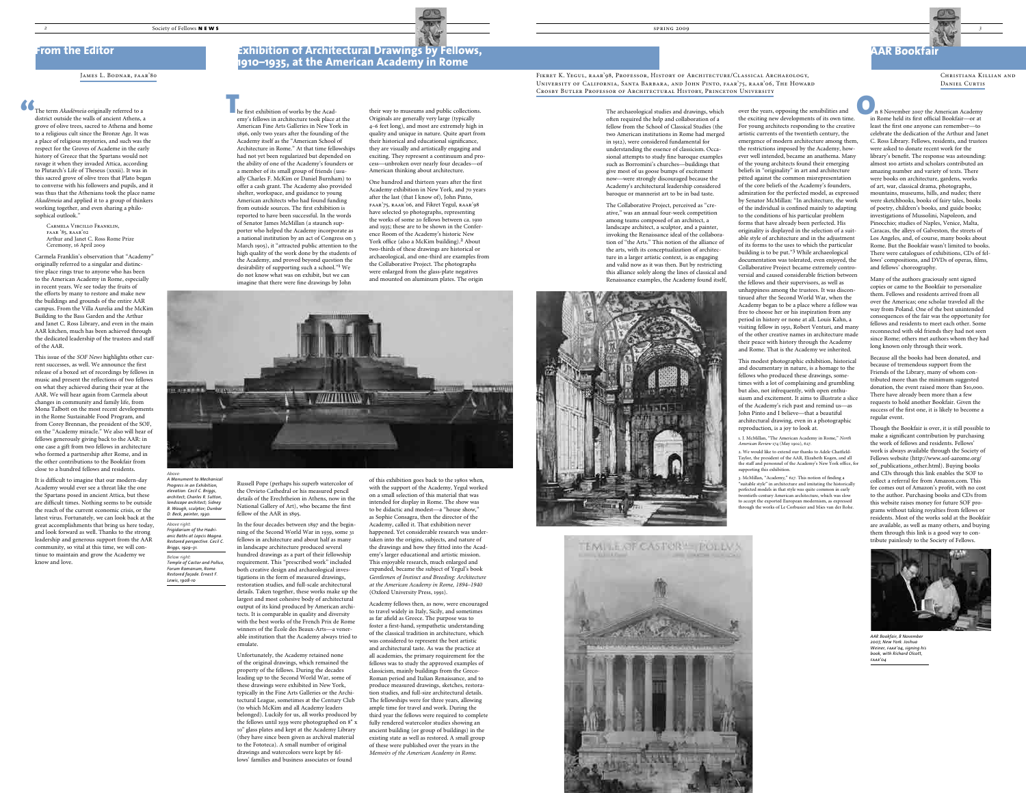#### JAMES L. BODNAR, FAAR'80



*A Monument to Mechanical Progress in an Exhibition, elevation. Cecil C. Briggs, architect; Charles R. Sutton, landscape architect; Sidney* 

**B. Waugh, sculptor; Dunba** *D. Beck, painter, 1930. Above right: Frigidarium of the Hadrianic Baths at Lepcis Magna. Restored perspective. Cecil C.* 

*Briggs, 1929–31. Below right: Temple of Castor and Pollux, Forum Romanum, Rome. Restored façade. Ernest F. Lewis, 1908-10*

their way to museums and public collections. Originals are generally very large (typically 4–6 feet long), and most are extremely high in quality and unique in nature. Quite apart from their historical and educational significance, they are visually and artistically engaging and exciting. They represent a continuum and process—unbroken over nearly four decades—of American thinking about architecture.

One hundred and thirteen years after the first Academy exhibition in New York, and 70 years after the last (that I know of), John Pinto, faar'75, raar'06, and Fikret Yegul, raar'98 have selected 50 photographs, representing the works of some 20 fellows between ca. 1910 and 1935; these are to be shown in the Conference Room of the Academy's historic New York office (also a McKim building).<sup>2</sup> About two-thirds of these drawings are historical or archaeological, and one-third are examples from the Collaborative Project. The photographs were enlarged from the glass-plate negatives and mounted on aluminum plates. The origin

he first exhibition of works by the Academy's fellows in architecture took place at the American Fine Arts Galleries in New York in 1896, only two years after the founding of the Academy itself as the "American School of Architecture in Rome." At that time fellowships had not yet been regularized but depended on the ability of one of the Academy's founders or a member of its small group of friends (usually Charles F. McKim or Daniel Burnham) to offer a cash grant. The Academy also provided shelter, workspace, and guidance to young American architects who had found funding from outside sources. The first exhibition is reported to have been successful. In the words of Senator James McMillan (a staunch supporter who helped the Academy incorporate as a national institution by an act of Congress on 3 March 1905), it "attracted public attention to the high quality of the work done by the students of the Academy, and proved beyond question the desirability of supporting such a school."1 We do not know what was on exhibit, but we can imagine that there were fine drawings by John The archaeological studies and drawings, which with over the years, opposing the sensibilities and<br>
the first exhibition of works by the Acad-<br>
originals are generally very large (typically with the sensibilities and offen

> of this exhibition goes back to the 1980s when, with the support of the Academy, Yegul worked on a small selection of this material that was intended for display in Rome. The show was to be didactic and modest—a "house show," as Sophie Consagra, then the director of the Academy, called it. That exhibition never happened. Yet considerable research was undertaken into the origins, subjects, and nature of the drawings and how they fitted into the Academy's larger educational and artistic mission. This enjoyable research, much enlarged and expanded, became the subject of Yegul's book *Gentlemen of Instinct and Breeding: Architecture at the American Academy in Rome, 1894–1940* (Oxford University Press, 1991).

> Academy fellows then, as now, were encouraged to travel widely in Italy, Sicily, and sometimes as far afield as Greece. The purpose was to foster a first-hand, sympathetic understanding of the classical tradition in architecture, which was considered to represent the best artistic and architectural taste. As was the practice at all academies, the primary requirement for the fellows was to study the approved examples of classicism, mainly buildings from the Greco-Roman period and Italian Renaissance, and to produce measured drawings, sketches, restoration studies, and full-size architectural details. The fellowships were for three years, allowing ample time for travel and work. During the third year the fellows were required to complete fully rendered watercolor studies showing an ancient building (or group of buildings) in the existing state as well as restored. A small group of these were published over the years in the *Memoirs of the American Academy in Rome.*



Russell Pope (perhaps his superb watercolor of the Orvieto Cathedral or his measured pencil details of the Erechtheion in Athens, now in the National Gallery of Art), who became the first fellow of the AAR in 1895.

In the four decades between 1897 and the beginning of the Second World War in 1939, some 31 fellows in architecture and about half as many in landscape architecture produced several hundred drawings as a part of their fellowship requirement. This "prescribed work" included both creative design and archaeological investigations in the form of measured drawings, restoration studies, and full-scale architectural details. Taken together, these works make up the largest and most cohesive body of architectural output of its kind produced by American architects. It is comparable in quality and diversity with the best works of the French Prix de Rome winners of the École des Beaux-Arts—a venerable institution that the Academy always tried to emulate.

The term *Akademeia* originally referred to a district outside the walls of ancient Athens, a grove of olive trees, sacred to Athena and home to a religious cult since the Bronze Age. It was a place of religious mysteries, and such was the respect for the Groves of Academe in the early history of Greece that the Spartans would not ravage it when they invaded Attica, according to Plutarch's Life of Theseus (xxxii). It was in this sacred grove of olive trees that Plato began to converse with his followers and pupils, and it was thus that the Athenians took the place name Akadēmeia and applied it to a group of thinkers working together, and even sharing a philosophical outlook."  $\bullet$  The term *Akade*<br>district outside t<br>grove of olive tre

> Unfortunately, the Academy retained none of the original drawings, which remained the property of the fellows. During the decades leading up to the Second World War, some of these drawings were exhibited in New York, typically in the Fine Arts Galleries or the Architectural League, sometimes at the Century Club (to which McKim and all Academy leaders belonged). Luckily for us, all works produced by the fellows until 1939 were photographed on 8" x 10" glass plates and kept at the Academy Library (they have since been given as archival material to the Fototeca). A small number of original drawings and watercolors were kept by fellows' families and business associates or found

The archaeological studies and drawings, which often required the help and collaboration of a fellow from the School of Classical Studies (the two American institutions in Rome had merged in 1912), were considered fundamental for understanding the essence of classicism. Occasional attempts to study fine baroque examples such as Borromini's churches—buildings that give most of us goose bumps of excitement now—were strongly discouraged because the Academy's architectural leadership considered baroque or mannerist art to be in bad taste.

 n 8 November 2007 the American Academy in Rome held its first official Bookfair—or at least the first one anyone can remember—to celebrate the dedication of the Arthur and Janet C. Ross Library. Fellows, residents, and trustees were asked to donate recent work for the library's benefit. The response was astounding: almost 100 artists and scholars contributed an amazing number and variety of texts. There were books on architecture, gardens, works of art, war, classical drama, photographs, mountains, museums, hills, and nudes; there were sketchbooks, books of fairy tales, books of poetry, children's books, and guide books; investigations of Mussolini, Napoleon, and Pinocchio; studies of Naples, Venice, Malta, Caracas, the alleys of Galveston, the streets of Los Angeles, and, of course, many books about Rome. But the Bookfair wasn't limited to books. There were catalogues of exhibitions, CDs of fellows' compositions, and DVDs of operas, films, and fellows' choreography. O<sub>n</sub>

The Collaborative Project, perceived as "creative," was an annual four-week competition among teams composed of an architect, a landscape architect, a sculptor, and a painter, invoking the Renaissance ideal of the collaboration of "the Arts." This notion of the alliance of the arts, with its conceptualization of architecture in a larger artistic context, is as engaging and valid now as it was then. But by restricting this alliance solely along the lines of classical and Renaissance examples, the Academy found itself,



## **From the Editor Exhibition of Architectural Drawings by Fellows, 1910–1935, at the American Academy in Rome**

**1910–1935** Fikret K. Yegul, raar'98, Professor, History of Architecture/Classical Archaeology, University of California, Santa Barbara, and John Pinto, faar'75, raar'06, The Howard Crosby Butler Professor of Architectural History, Princeton University

Christiana Killian and DANIEL CURTIS

the exciting new developments of its own time. For young architects responding to the creative artistic currents of the twentieth century, the emergence of modern architecture among them, the restrictions imposed by the Academy, however well intended, became an anathema. Many of the young architects found their emerging beliefs in "originality" in art and architecture pitted against the common misrepresentation of the core beliefs of the Academy's founders, admiration for the perfected model, as expressed by Senator McMillan: "In architecture, the work of the individual is confined mainly to adapting to the conditions of his particular problem forms that have already been perfected. His originality is displayed in the selection of a suitable style of architecture and in the adjustment of its forms to the uses to which the particular building is to be put."3 While archaeological documentation was tolerated, even enjoyed, the Collaborative Project became extremely controversial and caused considerable friction between the fellows and their supervisors, as well as unhappiness among the trustees. It was discontinued after the Second World War, when the Academy began to be a place where a fellow was free to choose her or his inspiration from any period in history or none at all. Louis Kahn, a visiting fellow in 1951, Robert Venturi, and many of the other creative names in architecture made their peace with history through the Academy and Rome. That is the Academy we inherited.

This modest photographic exhibition, historical and documentary in nature, is a homage to the fellows who produced these drawings, sometimes with a lot of complaining and grumbling but also, not infrequently, with open enthusiasm and excitement. It aims to illustrate a slice of the Academy's rich past and remind us—as John Pinto and I believe—that a beautiful architectural drawing, even in a photographic reproduction, is a joy to look at.

1. J. McMillan, "The American Academy in Rome," *North American Review* 174 (May 1902), 627.

2. We would like to extend our thanks to Adele Chatfield-Taylor, the president of the AAR, Elizabeth Kogen, and all the staff and personnel of the Academy's New York office, for supporting this exhibition.

3. McMillan, "Academy," 627. This notion of finding a "suitable style" in architecture and imitating the historically perfected models in that style was quite common in early twentieth-century American architecture, which was slow to accept the exported European modernism, as expressed through the works of Le Corbusier and Mies van der Rohe.

Carmela Vircillo Franklin, faar '85, raar'02 Arthur and Janet C. Ross Rome Prize Ceremony, 16 April 2009

Carmela Franklin's observation that "Academy" originally referred to a singular and distinctive place rings true to anyone who has been to the American Academy in Rome, especially in recent years. We see today the fruits of the efforts by many to restore and make new the buildings and grounds of the entire AAR campus. From the Villa Aurelia and the McKim Building to the Bass Garden and the Arthur and Janet C. Ross Library, and even in the main AAR kitchen, much has been achieved through the dedicated leadership of the trustees and staff of the AAR.

This issue of the *SOF News* highlights other current successes, as well. We announce the first release of a boxed set of recordings by fellows in music and present the reflections of two fellows on what they achieved during their year at the AAR. We will hear again from Carmela about changes in community and family life, from Mona Talbott on the most recent developments in the Rome Sustainable Food Program, and from Corey Brennan, the president of the SOF, on the "Academy miracle." We also will hear of fellows generously giving back to the AAR: in one case a gift from two fellows in architecture who formed a partnership after Rome, and in the other contributions to the Bookfair from close to a hundred fellows and residents.

It is difficult to imagine that our modern-day Academy would ever see a threat like the one the Spartans posed in ancient Attica, but these are difficult times. Nothing seems to be outside the reach of the current economic crisis, or the latest virus. Fortunately, we can look back at the great accomplishments that bring us here today, and look forward as well. Thanks to the strong leadership and generous support from the AAR community, so vital at this time, we will continue to maintain and grow the Academy we know and love.

Many of the authors graciously sent signed copies or came to the Bookfair to personalize them. Fellows and residents arrived from all over the Americas; one scholar traveled all the way from Poland. One of the best unintended consequences of the fair was the opportunity for fellows and residents to meet each other. Some reconnected with old friends they had not seen since Rome; others met authors whom they had long known only through their work.

Because all the books had been donated, and because of tremendous support from the Friends of the Library, many of whom contributed more than the minimum suggested donation, the event raised more than \$10,000. There have already been more than a few requests to hold another Bookfair. Given the success of the first one, it is likely to become a regular event.

Though the Bookfair is over, it is still possible to make a significant contribution by purchasing the work of fellows and residents. Fellows' work is always available through the Society of Fellows website (http://www.sof-aarome.org/ sof\_publications\_other.html). Buying books and CDs through this link enables the SOF to collect a referral fee from Amazon.com. This fee comes out of Amazon's profit, with no cost to the author. Purchasing books and CDs from this website raises money for future SOF programs without taking royalties from fellows or residents. Most of the works sold at the Bookfair are available, as well as many others, and buying them through this link is a good way to contribute painlessly to the Society of Fellows.



## **AAR Bookfair**

*AAR Bookfair, 8 November 2007, New York. Joshua Weiner, faar'04, signing his book, with Richard Olcott, faar'04*

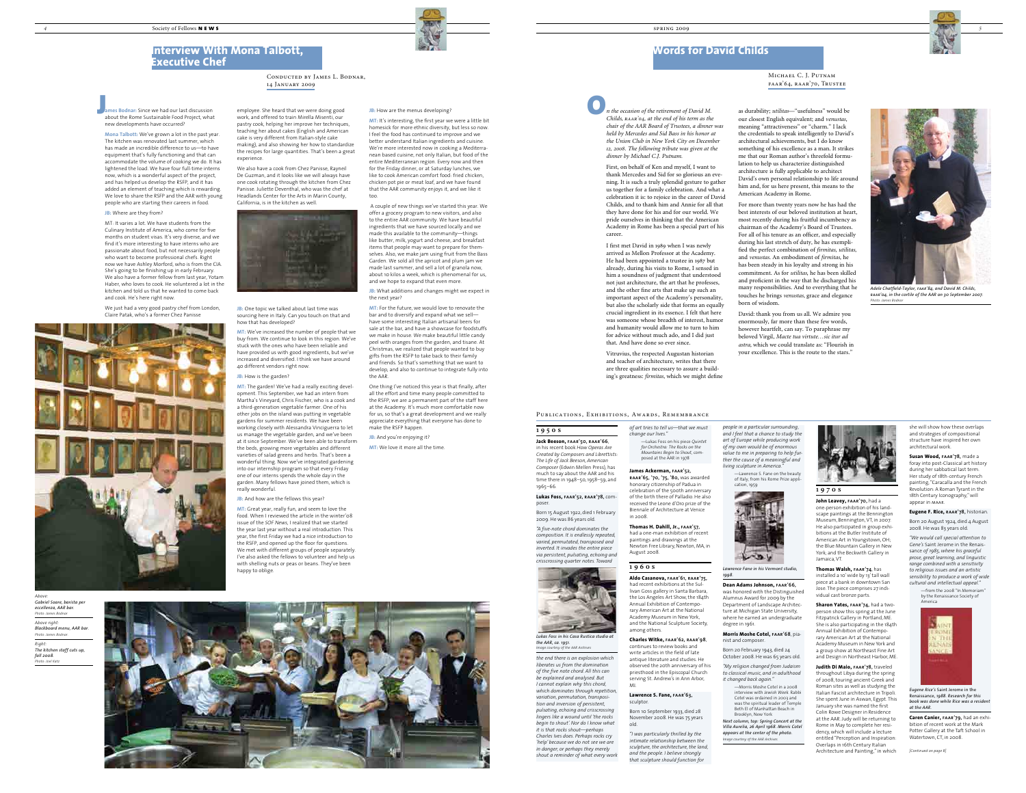### Michael C. J. Putnam faar'64, raar'70, Trustee

*Above:*



*fall 2008. Photo: Joel Katz*



she will show how these overlaps and strategies of compositional structure have inspired her own architectural work.

**Susan Wood, faar'78,** made a foray into post-Classical art history during her sabbatical last term. Her study of 18th-century French painting, "Caracalla and the French Revolution: A Roman Tyrant in the 18th Century Iconography," will appear in maar.

**Eugene F. Rice, raar'78,** historian. Born 20 August 1924, died 4 August 2008. He was 83 years old.

*"We would call special attention to Gene's* Saint Jerome in the Renaissance *of 1985, where his graceful prose, great learning, and linguistic range combined with a sensitivity to religious issues and an artistic sensibility to produce a work of wide cultural and intellectual appeal."*

—from the 2008 "In Memoriam" by the Renaissance Society of America



*Eugene Rice's* Saint Jerome in the Renaissance, *1988. Research for this book was done while Rice was a resident at the AAR.*

**Caren Canier, faar'79,** had an exhibition of recent work at the Mark Potter Gallery at the Taft School in Watertown, CT, in 2008.

### **1970s**

**John Leavey, faar'70,** had a one-person exhibition of his landscape paintings at the Bennington Museum, Bennington, VT, in 2007. He also participated in group exhibitions at the Butler Institute of American Art in Youngstown, OH; the Blue Mountain Gallery in New York; and the Beckwith Gallery in Jamaica, VT.

**Thomas Walsh, faar'74**, has installed a 10' wide by 13' tall wall iece at a bank in downto Jose. The piece comprises 27 individual cast bronze parts.

**Sharon Yates, faar'74,** had a twoperson show this spring at the June Fitzpatrick Gallery in Portland, ME. She is also participating in the 184th Annual Exhibition of Contemporary American Art at the National Academy Museum in New York and a group show at Northeast Fine Art and Design in Northeast Harbor, ME.

**Judith Di Maio, faar'78,** traveled throughout Libya during the spring of 2008, touring ancient Greek and Roman sites as well as studying the Italian Fascist architecture in Tripoli. She spent June in Aswan, Egypt. This January she was named the first Colin Rowe Designer in Residence at the AAR. Judy will be returning to Rome in May to complete her residency, which will include a lecture entitled "Perception and Inspiration: Overlaps in 16th Century Italian Architecture and Painting," in which

*people in a particular surrounding, and I feel that a chance to study the art of Europe while producing work of my own would be of enormous value to me in preparing to help further the cause of a meaningful and living sculpture in America."*

—Lawrence S. Fane on the beauty of Italy, from his Rome Prize appl cation, 1959



*Lawrence Fane in his Vermont studio, 1998.*

**Dean Adams Johnson, faar'66,** was honored with the Distinguished Alumnus Award for 2009 by the Department of Landscape Architecture at Michigan State University, where he earned an undergraduate degree in 1961.

#### **Morris Moshe Cotel, faar'68**, pianist and composer.

Born 20 February 1943, died 24 October 2008. He was 65 years old.

*"My religion changed from Judaism to classical music, and in adulthood it changed back again."*

—Morris Moshe Cotel in a 2008 interview with *Jewish Week.* Rabbi Cotel was ordained in 2003 and was the spiritual leader of Temple Beth El of Manhattan Beach in Brooklyn, New York

*Next column, top: Spring Concert at the Villa Aurelia, 26 April 1968. Morris Cotel appears at the center of the photo. Image courtesy of the AAR Archives*



*of art tries to tell us—that we must change our lives."*

—Lukas Foss on his piece *Quintet for Orchestra: The Rocks on the Mountains Begin to Shout,* composed at the AAR in 1978

### **James Ackerman, faar'52,**

**raar'65, '70, '75, '80,** was awarded honorary citizenship of Padua in celebration of the 500th anniversary of the birth there of Palladio. He also received the Leone d'Oro prize of the Biennale of Architecture at Venice in 2008.

**Thomas H. Dahill, Jr., faar'57,** had a one-man exhibition of recent paintings and drawings at the Newton Free Library, Newton, MA, in August 2008.

### **1960s**

**JB:** What additions and changes might we expect in the next year?

> **Aldo Casanova, faar'61, raar'75,** had recent exhibitions at the Sullivan Goss gallery in Santa Barbara, the Los Angeles Art Show, the 184th Annual Exhibition of Contemporary American Art at the National Academy Museum in New York, and the National Sculpture Society, among others.

## **Charles Witke, faar'62, raar'98**,

continues to review books and write articles in the field of late antique literature and studies. He observed the 20th anniversary of his priesthood in the Episcopal Church serving St. Andrew's in Ann Arbor, MI.

#### **Lawrence S. Fane, faar'63,** sculptor.

Born 10 September 1933, died 28 November 2008. He was 75 years old.

*"I was particularly thrilled by the intimate relationship between the sculpture, the architecture, the land, and the people. I believe strongly that sculpture should function for* 

## **1950s**

**JB:** One topic we talked about last time was sourcing here in Italy. Can you touch on that and how that has developed?

> **Jack Beeson, faar'50, raar'66**, in his recent book *How Operas Are Created by Composers and Librettists: The Life of Jack Beeson, American Composer* (Edwin Mellen Press), has much to say about the AAR and his time there in 1948–50, 1958–59, and 1965–66.

#### **Lukas Foss, faar'52, raar'78,** composer.

Born 15 August 1922, died 1 February 2009. He was 86 years old.

*"A five-note chord dominates the composition. It is endlessly repeated, varied, permutated, transposed and inverted. It invades the entire piece via persistent, pulsating, echoing and crisscrossing quarter notes. Toward* 

as durability; *utilitas*—"usefulness" would be our closest English equivalent; and *venustas*, meaning "attractiveness" or "charm." I lack the credentials to speak intelligently to David's architectural achievements, but I do know something of his excellence as a man. It strikes me that our Roman author's threefold formulation to help us characterize distinguished architecture is fully applicable to architect David's own personal relationship to life around him and, for us here present, this means to the American Academy in Rome.

For more than twenty years now he has had the best interests of our beloved institution at heart, most recently during his fruitful incumbency as chairman of the Academy's Board of Trustees. For all of his tenure as an officer, and especially during his last stretch of duty, he has exemplified the perfect combination of *firmitas*, *utilitas*, and *venustas*. An embodiment of *firmitas*, he has been steady in his loyalty and strong in his commitment. As for *utilitas*, he has been skilled and proficient in the way that he discharged his many responsibilities. And to everything that he touches he brings *venustas*, grace and elegance born of wisdom.

David: thank you from us all. We admire you enormously, far more than these few words, however heartfelt, can say. To paraphrase my beloved Virgil, *Macte tua virtute…sic itur ad astra,* which we could translate as: "Flourish in your excellence. This is the route to the stars."



**MT:** It's interesting, the first year we were a little bit homesick for more ethnic diversity, but less so now. I feel the food has continued to improve and we better understand Italian ingredients and cuisine. We're more interested now in cooking a Mediterranean based cuisine, not only Italian, but food of the entire Mediterranean region. Every now and then for the Friday dinner, or at Saturday lunches, we like to cook American comfort food: fried chicken, chicken pot pie or meat loaf, and we have found that the AAR community enjoys it, and we like it too.

 A couple of new things we've started this year. We offer a grocery program to new visitors, and also to the entire AAR community. We have beautiful ingredients that we have sourced locally and we made this available to the community—things like butter, milk, yogurt and cheese, and breakfast items that people may want to prepare for themselves. Also, we make jam using fruit from the Bass Garden. We sold all the apricot and plum jam we made last summer, and sell a lot of granola now, about 10 kilos a week, which is phenomenal for us, and we hope to expand that even more.

**MT:** For the future, we would love to renovate the bar and to diversify and expand what we sell have some interesting Italian artisanal beers for sale at the bar, and have a showcase for foodstuffs we make in house. We make beautiful little candy peel with oranges from the garden, and tisane. At Christmas, we realized that people wanted to buy gifts from the RSFP to take back to their family and friends. So that's something that we want to develop, and also to continue to integrate fully into the AAR.

One thing I've noticed this year is that finally, after all the effort and time many people committed to the RSFP, we are a permanent part of the staff here at the Academy. It's much more comfortable now for us, so that's a great development and we really appreciate everything that everyone has done to make the RSFP happen.

**JB:** And you're enjoying it?

**MT:** We love it more all the time.

employee. She heard that we were doing good work, and offered to train Mirella Misenti, our pastry cook, helping her improve her techniques, teaching her about cakes (English and American cake is very different from Italian-style cake making), and also showing her how to standardize the recipes for large quantities. That's been a great experience.

We also have a cook from Chez Panisse, Rayneil De Guzman, and it looks like we will always have one cook rotating through the kitchen from Chez Panisse. Juliette Deventhal, who was the chef at Headlands Center for the Arts in Marin County, California, is in the kitchen as well.

| --                                                                                                                                                                                                                                                                                                                                                                                                                                                                         |
|----------------------------------------------------------------------------------------------------------------------------------------------------------------------------------------------------------------------------------------------------------------------------------------------------------------------------------------------------------------------------------------------------------------------------------------------------------------------------|
|                                                                                                                                                                                                                                                                                                                                                                                                                                                                            |
|                                                                                                                                                                                                                                                                                                                                                                                                                                                                            |
| $\frac{1}{2} \left( \frac{1}{2} \right) \left( \frac{1}{2} \right) \left( \frac{1}{2} \right) \left( \frac{1}{2} \right) \left( \frac{1}{2} \right) \left( \frac{1}{2} \right) \left( \frac{1}{2} \right) \left( \frac{1}{2} \right) \left( \frac{1}{2} \right) \left( \frac{1}{2} \right) \left( \frac{1}{2} \right) \left( \frac{1}{2} \right) \left( \frac{1}{2} \right) \left( \frac{1}{2} \right) \left( \frac{1}{2} \right) \left( \frac{1}{2} \right) \left( \frac$ |
| and the first control of the con-                                                                                                                                                                                                                                                                                                                                                                                                                                          |
| <b>COMPANY</b><br><u> The Company's Company's Company's Company's Company's Company's Company's Company's Company's Company's Company's Company's Company's Company's Company's Company's Company's Company's Company's Company's Company's Compan</u>                                                                                                                                                                                                                     |
| ___                                                                                                                                                                                                                                                                                                                                                                                                                                                                        |

*the end there is an explosion which liberates us from the domination of the five note chord. All this can be explained and analysed. But I cannot explain why this chord, which dominates through repetition, variation, permutation, transposition and inversion of persistent, pulsating, echoing and crisscrossing lingers like a wound until 'the rocks begin to shout'. Nor do I know what it is that rocks shout—perhaps Charles Ives does. Perhaps rocks cry 'help' because we do not see we are in danger; or perhaps they merely shout a reminder of what every work Image courtesy of the AAR Archives*

**MT:** We've increased the number of people that we buy from. We continue to look in this region. We've stuck with the ones who have been reliable and have provided us with good ingredients, but we've increased and diversified. I think we have around 40 different vendors right now.

#### **JB:** How is the garden?

**MT:** The garden! We've had a really exciting development. This September, we had an intern from Martha's Vineyard, Chris Fischer, who is a cook and a third-generation vegetable farmer. One of his other jobs on the island was putting in vegetable gardens for summer residents. We have been working closely with Alessandra Vinciguerra to let us manage the vegetable garden, and we've been at it since September. We've been able to transform the beds, growing more vegetables and different varieties of salad greens and herbs. That's been a wonderful thing. Now we've integrated gardening into our internship program so that every Friday one of our interns spends the whole day in the garden. Many fellows have joined them, which is really wonderful.

**JB:** And how are the fellows this year?

**MT:** Great year, really fun, and seem to love the food. When I reviewed the article in the winter'08 issue of the *SOF News,* I realized that we started the year last year without a real introduction. This year, the first Friday we had a nice introduction to the RSFP, and opened up the floor for questions. We met with different groups of people separately. I've also asked the fellows to volunteer and help us with shelling nuts or peas or beans. They've been happy to oblige.

#### **JB:** How are the menus developing?

**Mona Talbott:** We've grown a lot in the past year. The kitchen was renovated last summer, which has made an incredible difference to us—to have equipment that's fully functioning and that can accommodate the volume of cooking we do. It has lightened the load. We have four full-time interns now, which is a wonderful aspect of the project, and has helped us develop the RSFP, and it has added an element of teaching which is rewarding. We love to share the RSFP and the AAR with young people who are starting their careers in food.

**JB:** Where are they from?

MT: It varies a lot. We have students from the Culinary Institute of America, who come for five months on student visas. It's very diverse, and we find it's more interesting to have interns who are passionate about food, but not necessarily people who want to become professional chefs. Right now we have Ashley Morford, who is from the CIA. She's going to be finishing up in early February. We also have a former fellow from last year, Yotam Haber, who loves to cook. He voluntered a lot in the kitchen and told us that he wanted to come back and cook. He's here right now.

We just had a very good pastry chef from London, Claire Patak, who's a former Chez Panisse



*n the occasion of the retirement of David M. Childs, raar'04, at the end of his term as the chair of the AAR Board of Trustees, a dinner was held by Mercedes and Sid Bass in his honor at the Union Club in New York City on December 12, 2008. The following tribute was given at the dinner by Michael C.J. Putnam.*

First, on behalf of Ken and myself, I want to thank Mercedes and Sid for so glorious an evening. It is such a truly splendid gesture to gather us together for a family celebration. And what a celebration it is: to rejoice in the career of David Childs, and to thank him and Annie for all that they have done for his and for our world. We pride ourselves in thinking that the American Academy in Rome has been a special part of his career.

I first met David in 1989 when I was newly arrived as Mellon Professor at the Academy. He had been appointed a trustee in 1987 but already, during his visits to Rome, I sensed in him a soundness of judgment that understood not just architecture, the art that he professes, and the other fine arts that make up such an important aspect of the Academy's personality, but also the scholarly side that forms an equally crucial ingredient in its essence. I felt that here was someone whose breadth of interest, humor and humanity would allow me to turn to him for advice without much ado, and I did just that. And have done so ever since.

Vitruvius, the respected Augustan historian and teacher of architecture, writes that there are three qualities necessary to assure a building's greatness: *firmitas*, which we might define

# **Words for David Childs**

*Adele Chatfield-Taylor, faar'84, and David M. Childs, raar'04, in the cortile of the AAR on 30 September 2007. Photo: James Bodnar*

### PUBLICATIONS, EXHIBITIONS, AWARDS, REMEMBRANCE

## **Interview With Mona Talbott, Executive Chef**

Conducted by James L. Bodnar, 14 January 2009

**ames Bodnar:** Since we had our last discussion about the Rome Sustainable Food Project, what new developments have occurred? ames Bodnar: Since we had our last discussion employee. She heard that we were doing good<br>about the Rome Sustainable Food Project, what work, and offered to train Mirella Misenti, our<br>MT: It's interesting the first year we



*the AAR, ca. 1951.*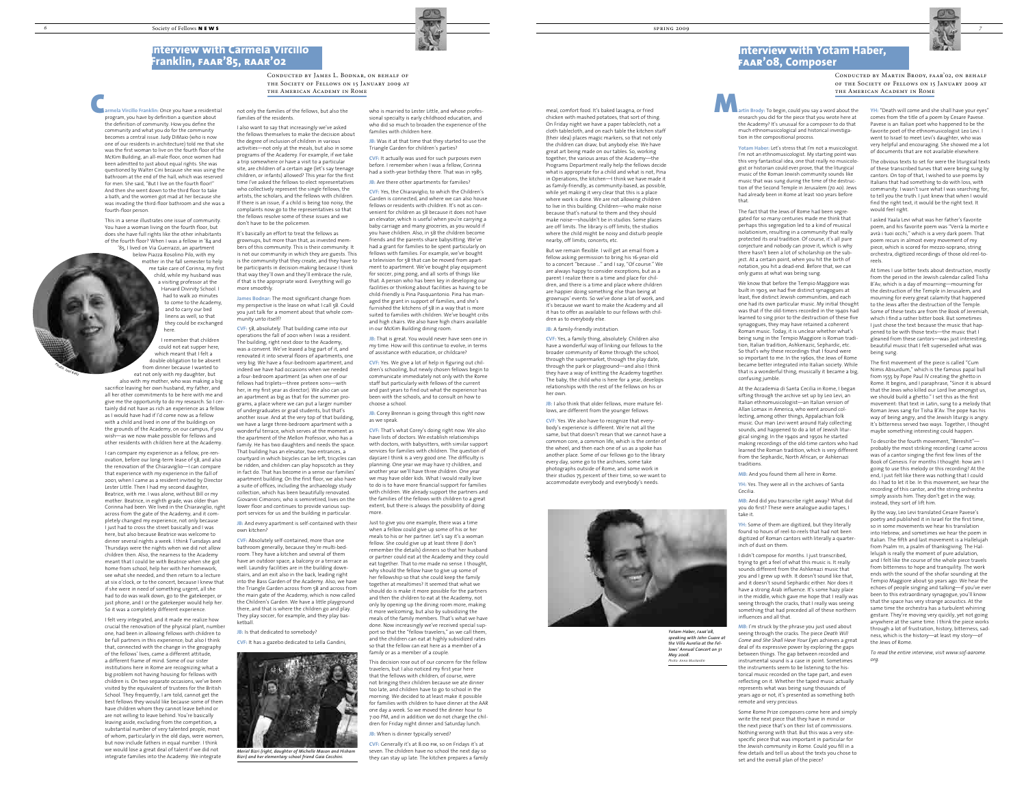

Conducted by James L. Bodnar, on behalf of the Society of Fellows on 15 January 2009 at the American Academy in Rome

Conducted by Martin Brody, faar'02, on behalf of the Society of Fellows on 15 January 2009 at the American Academy in Rome

> **YH:** "Death will come and she shall have your eyes" comes from the title of a poem by Cesare Pavese. Pavese is an Italian poet who happened to be the favorite poet of the ethnomusicologist Leo Levi. I went to Israel to meet Levi's daughter, who was very helpful and encouraging. She showed me a lot of documents that are not available elsewhere.

The obvious texts to set for were the liturgical texts of these transcribed tunes that were being sung by cantors. On top of that, I wished to use poems by Italians that had something to do with loss, with community. I wasn't sure what I was searching for, to tell you the truth. I just knew that when I would find the right text, it would be the right text. It would feel right.

I asked Yaala Levi what was her father's favorite poem, and his favorite poem was "Verrà la morte e avrà i tuoi occhi," which is a very dark poem. That poem recurs in almost every movement of my piece, which is scored for mezzo-soprano, string orchestra, digitized recordings of those old reel-toreels.

At times I use bitter texts about destruction, mostly from the period in the Jewish calendar called Tisha B'Av, which is a day of mourning—mourning for the destruction of the Temple in Jerusalem, and mourning for every great calamity that happened to the Jews after the destruction of the Temple. Some of these texts are from the Book of Jeremiah, which I find a rather bitter book. But sometimes I just chose the text because the music that happened to be with those texts—the music that I gleaned from these cantors—was just interesting, beautiful music that I felt superseded what was being sung.

The first movement of the piece is called "Cum Nimis Absurdum," which is the famous papal bull from 1555 by Pope Paul IV creating the ghetto in Rome. It begins, and I paraphrase, "Since it is absurd that the Jews who killed our Lord live amongst us, we should build a ghetto." I set this as the first movement: that text in Latin, sung to a melody that Roman Jews sang for Tisha B'Av. The pope has his way of being angry, and the Jewish liturgy is angry. It's bitterness served two ways. Together, I thought maybe something interesting could happen.

To describe the fourth movement, "Bereshit" probably the most striking recording I came across was of a cantor singing the first few lines of the Book of Genesis. For months I thought: how am I going to use this melody or this recording? At the end, I just felt like there was nothing that I could do. I had to let it be. In this movement, we hear the recording of this cantor, and the string orchestra simply assists him. They don't get in the way; instead, they sort of lift him.

By the way, Leo Levi translated Cesare Pavese's poetry and published it in Israel for the first time, so in some movements we hear his translation into Hebrew, and sometimes we hear the poem in Italian. The fifth and last movement is a Hallelujah from Psalm 111, a psalm of thanksgiving. The Hallelujah is really the moment of pure adulation, and I felt like the course of the whole piece travels from bitterness to hope and tranquility. The work ends with the sound of the shofar sounding at the Tempio Maggiore about 50 years ago. We hear the echoes of people singing and talking—if you've ever been to this extraordinary synagogue, you'll know that the space has very strange acoustics. At the same time the orchestra has a turbulent whirring gesture. They're moving very quickly, yet not going anywhere at the same time. I think the piece works through a lot of frustration, history, bitterness, sadness, which is the history—at least my story—of the Jews of Rome.

*To read the entire interview, visit www.sof-aarome. org.*

**JB:** That is great. You would never have seen one in my time. How will this continue to evolve, in terms of assistance with education, or childcare?

**JB:** Corey Brennan is going through this right now as we speak.

meal, comfort food. It's baked lasagna, or fried chicken with mashed potatoes, that sort of thing. On Friday night we have a paper tablecloth, not a cloth tablecloth, and on each table the kitchen staff (their idea) places magic markers, so that not only the children can draw, but anybody else. We have great art being made on our tables. So, working together, the various areas of the Academy—the Programs Department really help the fellows decide what is appropriate for a child and what is not, Pina in Operations, the kitchen—I think we have made it as family-friendly, as community-based, as possible, while yet making it very clear that this is a place where work is done. We are not allowing children to live in this building. Children—who make noise because that's natural to them and they should make noise—shouldn't be in studios. Some places are off limits. The library is off limits; the studios where the child might be noisy and disturb people nearby, off limits; concerts, etc.

But we remain flexible. I will get an email from a fellow asking permission to bring his 16-year-old to a concert "because …" and I say, "Of course." We are always happy to consider exceptions, but as a parent I realize there is a time and place for children, and there is a time and place where children are happier doing something else than being at grownups' events. So we've done a lot of work, and it's because we want to make the Academy and all it has to offer as available to our fellows with chil-

dren as to everybody else.

## **JB:** A family-friendly institution.

**CVF:** Yes, a family thing, absolutely. Children also have a wonderful way of linking our fellows to the broader community of Rome through the school, through the supermarket, through the play date, through the park or playground—and also I think they have a way of knitting the Academy together. The baby, the child who is here for a year, develops relationships with the rest of the fellows on his or

her own.



**JB:** I also think that older fellows, more mature fellows, are different from the younger fellows.

**CVF:** Yes. We also have to recognize that everybody's experience is different. We're not all the same, but that doesn't mean that we cannot have a common core, a common life, which is the center of the wheel, and then each one of us as a spoke has another place. Some of our fellows go to the library every day, some go to the archives, some take photographs outside of Rome, and some work in their studios 75 percent of their time, so we want to accommodate everybody and everybody's needs.



who is married to Lester Little, and whose professional specialty is early childhood education, and who did so much to broaden the experience of the families with children here.

**JB:** Was it at that time that they started to use the Triangle Garden for children's parties?

**JB:** And every apartment is self-contained with their own kitchen?

**CVF:** It actually was used for such purposes even before. I remember when I was a fellow, Corinna had a sixth-year birthday there. That was in 1985.

**JB:** Are there other apartments for families?

**armela Vircillo Franklin:** Once you have a residential program, you have by definition a question about the definition of community. How you define the community and what you do for the community becomes a central issue. Judy DiMaio (who is now one of our residents in architecture) told me that she was the first woman to live on the fourth floor of the McKim Building, an all-male floor, once women had been admitted to just about equal rights. She was questioned by Walter Cini because she was using the bathroom at the end of the hall, which was reserved for men. She said, "But I live on the fourth floor!" And then she went down to the third floor to take a bath, and the women got mad at her because she was invading the third-floor bathroom and she was a fourth-floor person. armela Vircillo Franklin: Once you have a residential ont only the families of the fellows, but also the who is married to Lester Little, and whose profes-<br>program, you have by definition a question about families of the r

**CVF:** Yes, the Chiaraviglio, to which the Children's Garden is connected, and where we can also house fellows or residents with children. It's not as convenient for children as 5B because it does not have an elevator, which is useful when you're carrying a baby carriage and many groceries, as you would if you have children. Also, in 5B the children become friends and the parents share babysitting. We've had a grant for families to be spent particularly on fellows with families. For example, we've bought a television for 5B that can be moved from apartment to apartment. We've bought play equipment for soccer, ping pong, and all sorts of things like that. A person who has been key in developing our facilities or thinking about facilities as having to be child-friendly is Pina Pasquantonio. Pina has managed the grant in support of families, and she's furnished the kitchens of 5B in a way that is more suited to families with children. We've bought cribs and high chairs. We also have high chairs available in our McKim Building dining room.

**CVF:** Yes. We give a lot of help in figuring out children's schooling, but newly chosen fellows begin to communicate immediately not only with the Rome staff but particularly with fellows of the current and past years to find out what the experience has been with the schools, and to consult on how to choose a school.

**CVF:** That's what Corey's doing right now. We also have lists of doctors. We establish relationships with doctors, with babysitters, with similar support services for families with children. The question of daycare I think is a very good one. The difficulty is planning. One year we may have 17 children, and another year we'll have three children. One year we may have older kids. What I would really love to do is to have more financial support for families with children. We already support the partners and the families of the fellows with children to a great extent, but there is always the possibility of doing more.

Just to give you one example, there was a time when a fellow could give up some of his or her meals to his or her partner. Let's say it's a woman fellow. She could give up at least three (I don't remember the details) dinners so that her husband or partner could eat at the Academy and they could eat together. That to me made no sense. I thought, why should the fellow have to give up some of her fellowship so that she could keep the family together at mealtimes? It seemed that what w should do is make it more possible for the partners and then the children to eat at the Academy, not only by opening up the dining room more, making it more welcoming, but also by subsidizing the meals of the family members. That's what we have done. Now increasingly we've received special support so that the "fellow travelers," as we call them, and the children can eat at highly subsidized rates so that the fellow can eat here as a member of a family or as a member of a couple.

This decision rose out of our concern for the fellow travelers, but I also noticed my first year here that the fellows with children, of course, were not bringing their children because we ate dinner too late, and children have to go to school in the morning. We decided to at least make it possible for families with children to have dinner at the AAR one day a week. So we moved the dinner hour to 7:00 PM, and in addition we do not charge the children for Friday night dinner and Saturday lunch.

#### **JB:** When is dinner typically served?

**CVF:** Generally it's at 8:00 pm, so on Fridays it's at seven. The children have no school the next day so they can stay up late. The kitchen prepares a family

not only the families of the fellows, but also the families of the residents.

I also want to say that increasingly we've asked the fellows themselves to make the decision about

the degree of inclusion of children in various activities—not only at the meals, but also in some programs of the Academy. For example, if we take a trip somewhere or have a visit to a particular site, are children of a certain age (let's say teenage children, or infants) allowed? This year for the first time I've asked the fellows to elect representatives who collectively represent the single fellows, the artists, the scholars, and the fellows with children. If there is an issue, if a child is being too noisy, the complaints now go to the representatives so that the fellows resolve some of these issues and we don't have to be the policemen.

It's basically an effort to treat the fellows as grownups, but more than that, as invested members of this community. This is their community. It is not our community in which they are guests. This is the community that they create, and they have to be participants in decision-making because I think that way they'll own and they'll embrace the rule, if that is the appropriate word. Everything will go more smoothly.

**James Bodnar:** The most significant change from my perspective is the lease on what I call 5B. Could you just talk for a moment about that whole community unto itself?

**CVF:** 5B, absolutely. That building came into our operations the fall of 2001 when I was a resident. The building, right next door to the Academy, was a convent. We've leased a big part of it, and renovated it into several floors of apartments, one very big. We have a four-bedroom apartment, and indeed we have had occasions when we needed a four-bedroom apartment (as when one of our fellows had triplets—three preteen sons—with her, in my first year as director). We also can use an apartment as big as that for the summer programs, a place where we can put a larger number of undergraduates or grad students, but that's another issue. And at the very top of that building, we have a large three-bedroom apartment with a wonderful terrace, which serves at the moment as the apartment of the Mellon Professor, who has a family. He has two daughters and needs the space. That building has an elevator, two entrances, a courtyard in which bicycles can be left, tricycles can be ridden, and children can play hopscotch as they in fact do. That has become in a sense our families' apartment building. On the first floor, we also have a suite of offices, including the archaeology study collection, which has been beautifully renovated. Giovanni Cimoroni, who is semiretired, lives on the lower floor and continues to provide various support services for us and the building in particular.

**CVF:** Absolutely self-contained, more than one bathroom generally, because they're multi-bedroom. They have a kitchen and several of them have an outdoor space, a balcony or a terrace as well. Laundry facilities are in the building downstairs, and an exit also in the back, leading right into the Bass Garden of the Academy. Also, we have the Triangle Garden across from 5B and across from the main gate of the Academy, which is now called the Children's Garden. We have a little playground there, and that is where the children go and play. They play soccer, for example, and they play basketball.

**JB:** Is that dedicated to somebody?

**CVF:** It has a gazebo dedicated to Lella Gandini,

This in a sense illustrates one issue of community. You have a woman living on the fourth floor, but does she have full rights like the other inhabitants of the fourth floor? When I was a fellow in '84 and '85, I lived on Via Guerrazzi, an apartment

below Piazza Rosolino Pilo, with my mother in the fall semester to help me take care of Corinna, my first child, while my husband was a visiting professor at the Harvard Divinity School. I had to walk 20 minutes to come to the Academy, and to carry our bed linens as well, so that they could be exchanged here.

I remember that children could not eat supper here, which meant that I felt a double obligation to be absent from dinner because I wanted to

eat not only with my daughter, but also with my mother, who was making a big sacrifice leaving her own husband, my father, and all her other commitments to be here with me and give me the opportunity to do my research. So I certainly did not have as rich an experience as a fellow as I would have had if I'd come now as a fellow with a child and lived in one of the buildings on the grounds of the Academy, on our campus, if you wish—as we now make possible for fellows and other residents with children here at the Academy.

I can compare my experience as a fellow, pre-renovation, before our long-term lease of 5B, and also the renovation of the Chiaraviglio—I can compare that experience with my experience in the fall of 2001, when I came as a resident invited by Director Lester Little. Then I had my second daughter, Beatrice, with me. I was alone, without Bill or my mother. Beatrice, in eighth grade, was older than Corinna had been. We lived in the Chiaraviglio, right across from the gate of the Academy, and it completely changed my experience, not only because I just had to cross the street basically and I was here, but also because Beatrice was welcome to dinner several nights a week. I think Tuesdays and Thursdays were the nights when we did not allow children then. Also, the nearness to the Academy meant that I could be with Beatrice when she got home from school, help her with her homework, see what she needed, and then return to a lecture at six o'clock, or to the concert, because I knew that if she were in need of something urgent, all she had to do was walk down, go to the gatekeeper, or just phone, and I or the gatekeeper would help her. So it was a completely different experience.

I felt very integrated, and it made me realize how crucial the renovation of the physical plant, number one, had been in allowing fellows with children to be full partners in this experience; but also I think that, connected with the change in the geography of the fellows' lives, came a different attitude, a different frame of mind. Some of our sister institutions here in Rome are recognizing what a big problem not having housing for fellows with children is. On two separate occasions, we've been visited by the equivalent of trustees for the British School. They frequently, I am told, cannot get the best fellows they would like because some of them have children whom they cannot leave behind or are not willing to leave behind. You're basically leaving aside, excluding from the competition, a substantial number of very talented people, most of whom, particularly in the old days, were women, but now include fathers in equal number. I think we would lose a great deal of talent if we did not integrate families into the Academy. We integrate

**artin Brody:** To begin, could you say a word about the research you did for the piece that you wrote here at the Academy? It's unusual for a composer to do that much ethnomusicological and historical investigation in the compositional process.

**Yotam Haber:** Let's stress that I'm not a musicologist. I'm not an ethnomusicologist. My starting point was this very fantastical idea, one that really no musicologist or historian could ever prove, that the liturgical music of the Roman Jewish community sounds like music that was sung during the time of the destruction of the Second Temple in Jerusalem (70 AD). Jews had already been in Rome at least 100 years before that.

The fact that the Jews of Rome had been segregated for so many centuries made me think that perhaps this segregation led to a kind of musical isolationism, resulting in a community that really protected its oral tradition. Of course, it's all pure conjecture and nobody can prove it, which is why there hasn't been a lot of scholarship on the subject. At a certain point, when you hit the birth of notation, you hit a dead-end. Before that, we can only guess at what was being sung.

We know that before the Tempio Maggiore was built in 1903, we had five distinct synagogues at least, five distinct Jewish communities, and each one had its own particular music. My initial thought was that if the old-timers recorded in the 1940s had learned to sing prior to the destruction of these five synagogues, they may have retained a coherent Roman music. Today, it is unclear whether what's being sung in the Tempio Maggiore is Roman tradition, Italian tradition, Ashkenazic, Sephardic, etc. So that's why these recordings that I found were so important to me. In the 1960s, the Jews of Rome became better integrated into Italian society. While that is a wonderful thing, musically it became a big, confusing jumble.

At the Accademia di Santa Cecilia in Rome, I began sifting through the archive set up by Leo Levi, an Italian ethnomusicologist—an Italian version of Allan Lomax in America, who went around collecting, among other things, Appalachian folk music. Our man Levi went around Italy collecting sounds, and happened to do a lot of Jewish liturgical singing. In the 1940s and 1950s he started making recordings of the old-time cantors who had learned the Roman tradition, which is very different from the Sephardic, North African, or Ashkenazi traditions.

**MB:** And you found them all here in Rome.

**YH:** Yes. They were all in the archives of Santa Cecilia.

**MB:** And did you transcribe right away? What did you do first? These were analogue audio tapes, I take it.

**YH:** Some of them are digitized, but they literally found 10 hours of reel-to-reels that had not been digitized of Roman cantors with literally a quarterinch of dust on them.

I didn't compose for months. I just transcribed, trying to get a feel of what this music is. It really sounds different from the Ashkenazi music that you and I grew up with. It doesn't sound like that, and it doesn't sound Sephardic either. Nor does it have a strong Arab influence. It's some hazy place in the middle, which gave me hope that I really was seeing through the cracks, that I really was seeing something that had preceded all of these northern influences and all that.

**MB:** I'm struck by the phrase you just used about seeing through the cracks. The piece *Death Will Come and She Shall Have Your Eyes* achieves a great deal of its expressive power by exploring the gaps between things. The gap between recorded and instrumental sound is a case in point. Sometimes the instruments seem to be listening to the historical music recorded on the tape part, and even reflecting on it. Whether the taped music actually represents what was being sung thousands of years ago or not, it's presented as something both remote and very precious.

Some Rome Prize composers come here and simply write the next piece that they have in mind or the next piece that's on their list of commissions. Nothing wrong with that. But this was a very sitespecific piece that was important in particular for the Jewish community in Rome. Could you fill in a few details and tell us about the texts you chose to set and the overall plan of the piece?

## **Interview with Carmela Vircillo Franklin, faar'85, raar'02**

## **Interview with Yotam Haber, faar'08, Composer**



*Meriel Bizri (right, daughter of Michelle Mason and Hisham Bizri) and her elementary school friend Gaia Cecchini.*

*Yotam Haber, faar'08, speaking with John Guare at the Villa Aurelia at the Fellows' Annual Concert on 31 May 2008. Photo: Anna Muskardin*

*<sup>P</sup>hoto: <sup>J</sup>oel Katz*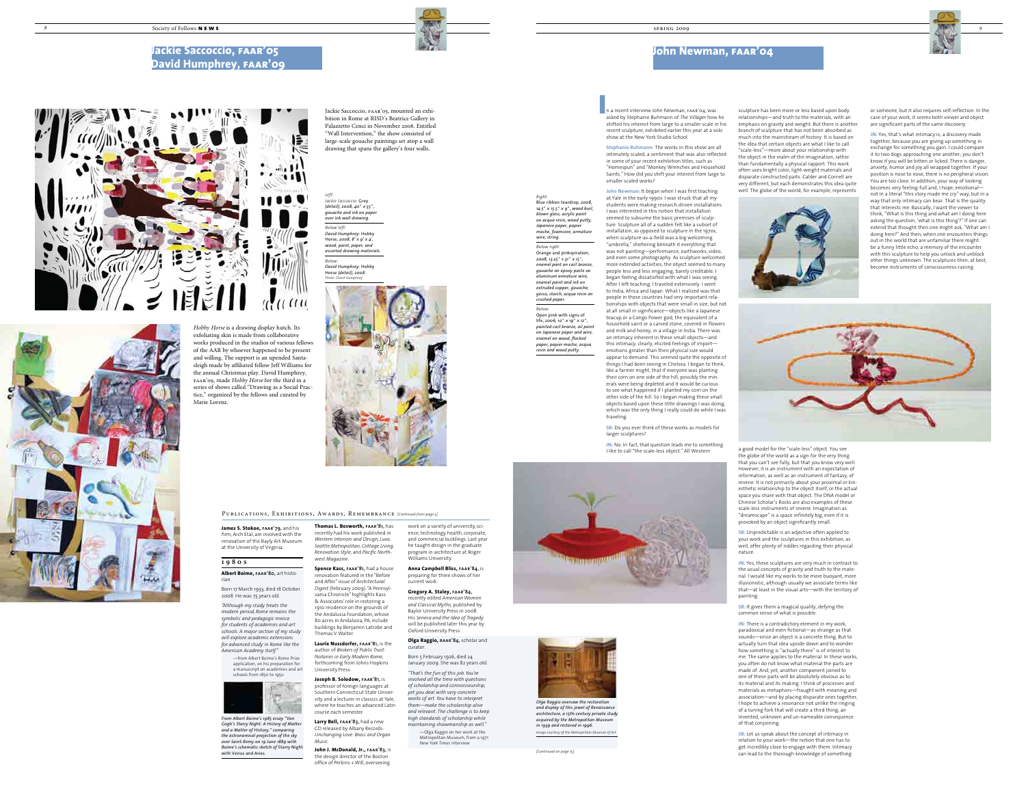

*and display of this jewel of Renaissance architecture, a 15th-century private study acquired by the Metropolitan Museum* 

*in 1939 and restored in 1996. Image courtesy of the Metropolitan Museum of Art*

or someone, but it also requires self-reflection. In the case of your work, it seems both viewer and object are significant parts of the same discovery.

**JN:** Yes, that's what intimacy is; a discovery made together, because you are giving up something in exchange for something you gain. I could compare it to two dogs approaching one another; you don't know if you will be bitten or licked. There is danger, anxiety, humor and joy all wrapped together. If your position is nose to nose, there is no peripheral vision. You are too close. In addition, your way of looking becomes very feeling-full and, I hope, emotional not in a literal "this story made me cry" way, but in a way that only intimacy can bear. That is the quality that interests me. Basically, I want the viewer to think, "What is this thing and what am I doing here asking the question, 'what is this thing'?" If one can extend that thought then one might ask, "What am I doing here?" And then, when one encounters things out in the world that are unfamiliar there might be a funny little echo, a memory of the encounter with this sculpture to help you unlock and unblock other things unknown. The sculptures then, at best, become instruments of consciousness-raising.



**Stephanie Buhmann:** The works in this show are all intimately scaled, a sentiment that was also reflected in some of your recent exhibition titles, such as "Homespun" and "Monkey Wrenches and Household Saints." How did you shift your interest from large to smaller scaled works?

**JN:** No. In fact, that question leads me to something I like to call "the scale-less object." All Western



**John Newman:** It began when I was first teaching at Yale in the early 1990s. I was struck that all my students were making research-driven installations. I was interested in this notion that installation seemed to subsume the basic premises of sculpture. Sculpture all of a sudden felt like a subset of installation, as opposed to sculpture in the 1970s, when sculpture-as-a-field was a big welcoming "umbrella," sheltering beneath it everything that was not painting—performance, earthworks, video, and even some photography. As sculpture welcomed more extended activities, the object seemed to many people less and less engaging; barely creditable. I began feeling dissatisfied with what I was seeing. After I left teaching, I traveled extensively. I went to India, Africa and Japan. What I realized was that people in these countries had very important relationships with objects that were small in size, but not at all small in significance—objects like a Japanese teacup or a Congo Power god; the equivalent of a household saint or a carved stone, covered in flowers and milk and honey, in a village in India. There was an intimacy inherent in these small objects—and this intimacy, clearly, elicited feelings of import emotions greater than their physical size would appear to demand. This seemed quite the opposite of things I had been seeing in Chelsea. I began to think, like a farmer might, that if everyone was planting their corn on one side of the hill, possibly the minerals were being depleted and it would be curious to see what happened if I planted my corn on the other side of the hill. So I began making these small objects based upon these little drawings I was doing, which was the only thing I really could do while I was

> **SB:** Unpredictable is an adjective often applied to your work and the sculptures in this exhibition, as well, offer plenty of riddles regarding their physical nature.

**SB:** It gives them a magical quality, defying the common sense of what is possible.

**JN:** There is a contradictory element in my work; paradoxical and even fictional—as strange as that sounds—since an object is a concrete thing. But to actually turn that idea upside down and to wonder how something is "actually there" is of interest to me. The same applies to the material. In these works, you often do not know what material the parts are made of. And, yet, another component joined to one of these parts will be absolutely obvious as to its material and its making. I think of processes and materials as metaphors—fraught with meaning and association—and by placing disparate ones together, I hope to achieve a resonance not unlike the ringing of a tuning fork that will create a third thing, an invented, unknown and un-nameable consequence of that conjoining.

**SB:** Let us speak about the concept of intimacy in relation to your work—the notion that one has to get incredibly close to engage with them. Intimacy can lead to the thorough knowledge of something

traveling.



**SB:** Do you ever think of these works as models for larger sculptures?

*Left:*

*Jackie Saccoccio:* Grey *(detail), 2008, 40*" *x 55*", *gouache and ink on paper over ink wall drawing. Below left: David Humphrey:* Hobby Horse, *2008, 8' x 9' x 4*'*, wood, paint, paper, and assorted drawing materials.* 

*Below: David Humphrey:* Hobby Horse *(detail), 2008. Photo: David Humphrey*



**Thomas L. Bosworth, faar'81,** has recently had his work published in *Western Interiors and Design, Luxe, Seattle Metropolitan, Cottage Living, Renovation Style,* and *Pacific North* $west Magazine$ 

*Hobby Horse* is a drawing display hutch. Its exfoliating skin is made from collaborative works produced in the studios of various fellows of the AAR by whoever happened to be present and willing. The support is an upended Santasleigh made by affiliated fellow Jeff Williams for the annual Christmas play. David Humphrey, faar'09, made *Hobby Horse* for the third in a series of shows called "Drawing as a Social Practice," organized by the fellows and curated by

n a recent interview John Newman, faar'04, was asked by Stephanie Buhmann of *The Villager* how he shifted his interest from large to a smaller scale in his recent sculpture, exhibited earlier this year at a solo show at the New York Studio School. I

Marie Lorenz.

## **Jackie Saccoccio, faar'05 David Humphrey, faar'09**





sculpture has been more or less based upon body relationships—and truth to the materials, with an emphasis on gravity and weight. But there is another branch of sculpture that has not been absorbed as much into the mainstream of history. It is based on the idea that certain objects are what I like to call "scale-less"—more about your relationship with the object in the realm of the imagination, rather than fundamentally a physical rapport. This work often uses bright color, light-weight materials and disparate constructed parts. Calder and Cornell are very different, but each demonstrates this idea quite well. The globe of the world, for example, represents



**James S. Stokoe, faar'79,** and his firm, Arch Etal, are involved with the renovation of the Bayly Art Museum at the University of Virginia

a good model for the "scale-less" object. You see the globe of the world as a sign for the very thing that you can't see fully, but that you know very well. However, it is an instrument with an expectation of information, as well as an instrument of fantasy, of reverie. It is not primarily about your proximal or kinesthetic relationship to the object itself, or the actual space you share with that object. The DNA model or Chinese Scholar's Rocks are also examples of these scale-less instruments of reverie. Imagination as "dreamscape" is a space infinitely big, even if it is provoked by an object significantly small.

**JN:** Yes, these sculptures are very much in contrast to the usual concepts of gravity and truth to the material. I would like my works to be more buoyant, more iistic, although usually we associate terms like that—at least in the visual arts—with the territory of painting.

## **John Newman, faar'04**

Jackie Saccoccio, faar'05, mounted an exhibition in Rome at RISD's Beatrice Gallery in Palazzetto Cenci in November 2008. Entitled "Wall Intervention," the show consisted of large-scale gouache paintings set atop a wall drawing that spans the gallery's four walls.

*Right:*

Blue ribbon teardrop, *2008,* 

# *14.5*" *x 15.5*" *x 9*"*, wood burl,*

*blown glass, acrylic paint on acqua resin, wood putty, Japanese paper, papier mache, foamcore, armature wire, string.*

*Below right:* Orange and pinkspiration, *2008, 13.25*" x *31*" *x 15*"*, enamel pant on cast bronze, gouache on epoxy paste on aluminum armature wire, enamel paint and ink on extruded copper, gouache, gesso, starch, acqua resin on crushed paper.*

*Below:* Open pink with signs of life, *2006, 10*" *x 19*" *x 12*"*, painted cast bronze, oil paint on Japanese paper and wire, enamel on wood, flocked paper, papier mache, acqua resin and wood putty.*

PUBLICATIONS, EXHIBITIONS, AWARDS, REMEMBRANCE *[Continued from page 5]* 

**Spence Kass, faar'81,** had a house renovation featured in the "Before and After" issue of *Archite Digest* (February 2009). "A Pennsylvania Chronicle" highlights Kass & Associates' role in restoring a 1910 residence on the grounds of the Andalusia Foundation, whose 80 acres in Andalusia, PA, include buildings by Benjamin Latrobe and Thomas V. Walter.

**Laurie Nussdorfer, faar'81,** is the author of *Brokers of Public Trust: Notaries in Early Modern Rome,* forthcoming from Johns Hopkins University Press.

**Joseph B. Solodow, faar'81,** is professor of foreign languages at Southern Connecticut State University and a lecturer in classics at Yale, where he teaches an advanced Latin course each semester.

**Larry Bell, faar'83,** had a new CD released by Albany Records: *Unchanging Love: Brass and Organ Music.*

**John J. McDonald, Jr., faar'83,** is the design director of the Boston office of Perkins + Will, overseeing

work on a variety of university, science, technology, health, corporate, and commercial buildings. Last year he taught design in the graduate program in architecture at Roger Williams University.

**Anna Campbell Bliss, faar'84,** is preparing for three shows of her current work.

**Gregory A. Staley, faar'84,** recently edited *American Women and Classical Myths,* published by

Baylor University Press in 2008. His *Seneca and the Idea of Tragedy* will be published later this year by Oxford University Press.

#### **Olga Raggio, raar'84,** scholar and curator.

Born 5 February 1926, died 24 January 2009. She was 82 years old.

*"That's the fun of this job. You're involved all the time with questions of scholarship and connoisseurship, yet you deal with very concrete works of art. You have to interpret them—make the scholarship alive and relevant. The challenge is to keep* 

*high standards of scholarship while maintaining showmanship as well."* —Olga Raggio on her work at the

Metropolitan Museum, from a 1971 *New York Times* interview



### **1 9 8 0 s**

**Albert Boime, faar'80,** art historian.

Born 17 March 1933, died 18 October 2008. He was 75 years old.

*"Although my study treats the modern period, Rome remains the symbolic and pedagogic mecca for students of academies and art schools. A major section of my study will explore academic extensions for advanced study in Rome like the American Academy itself."*

> —from Albert Boime's Rome Prize application, on his preparation for a manuscript on academies and art schools from 1850 to 1950



*From Albert Boime's 1985 essay "Van Gogh's Starry Night: A History of Matter and a Matter of History," comparing the astronomical projection of the sky over Saint-Remy on 19 June 1889 with Boime's schematic sketch of* Starry Night with Venus and Aries.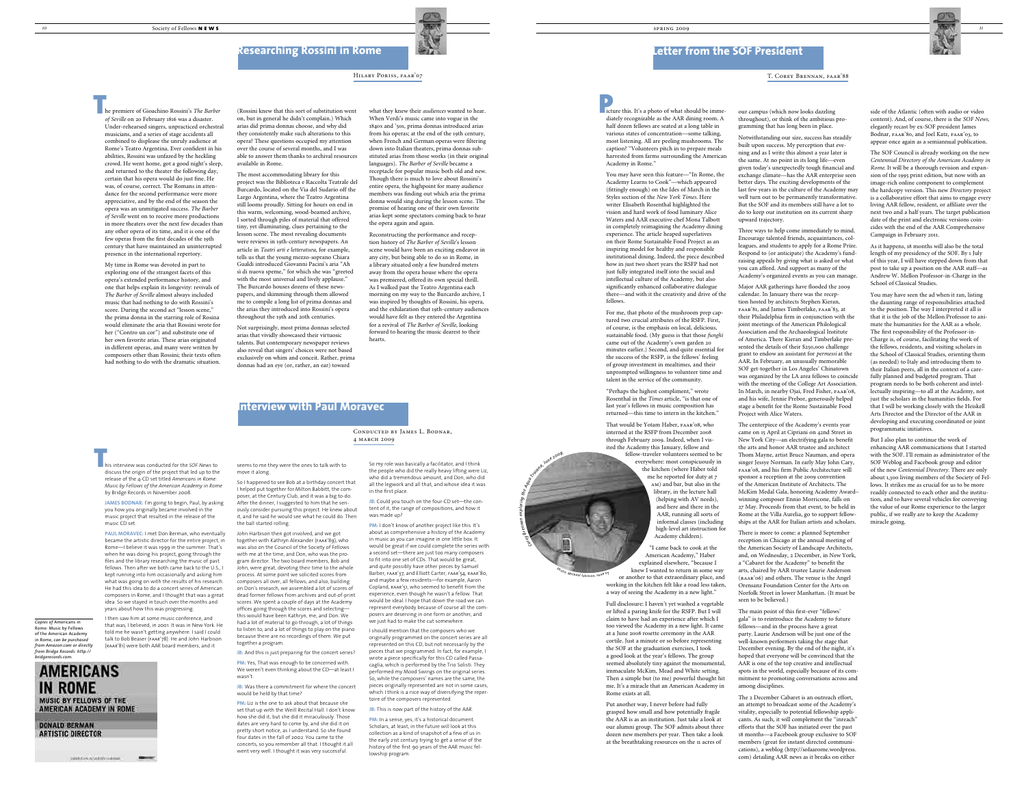what they knew their *audiences* wanted to hear. When Verdi's music came into vogue in the 1840s and '50s, prima donnas introduced arias from his operas; at the end of the 19th century, when French and German operas were filtering down into Italian theaters, prima donnas substituted arias from those works (in their original languages). *The Barber of Seville* became a receptacle for popular music both old and new. Though there is much to love about Rossini's entire opera, the highpoint for many audience members was finding out which aria the prima donna would sing during the lesson scene. The promise of hearing one of their own favorite arias kept some spectators coming back to hear the opera again and again.

Reconstructing the performance and reception history of *The Barber of Seville*'s lesson scene would have been an exciting endeavor in any city, but being able to do so in Rome, in a library situated only a few hundred meters away from the opera house where the opera was premiered, offered its own special thrill. As I walked past the Teatro Argentina each morning on my way to the Burcardo archive, I was inspired by thoughts of Rossini, his opera, and the exhilaration that 19th-century audiences would have felt as they entered the Argentina for a revival of *The Barber of Seville*, looking forward to hearing the music dearest to their hearts.

JB: And this is just preparing for the concert series? **PM:** Yes, That was enough to be concerned with. We weren't even thinking about the CD—at least I wasn't.

**JB:** Was there a commitment for where the concert would be held by that time?

seems to me they were the ones to talk with to move it along.

he premiere of Gioachino Rossini's *The Barber of Seville* on 20 February 1816 was a disaster. Under-rehearsed singers, unpracticed orchestral musicians, and a series of stage accidents all combined to displease the unruly audience at Rome's Teatro Argentina. Ever confident in his abilities, Rossini was unfazed by the heckling crowd. He went home, got a good night's sleep, and returned to the theater the following day, certain that his opera would do just fine. He was, of course, correct. The Romans in attendance for the second performance were more appreciative, and by the end of the season the opera was an unmitigated success. *The Barber of Seville* went on to receive more productions in more theaters over the next few decades than any other opera of its time, and it is one of the few operas from the first decades of the 19th century that have maintained an uninterrupted presence in the international repertory.  $\prod_{k}$ 

> So I happened to see Bob at a birthday concert that I helped put together for Milton Babbitt, the composer, at the Century Club, and it was a big to-do. After the dinner, I suggested to him that he seriously consider pursuing this project. He knew about it, and he said he would see what he could do. Then the ball started rolling.

John Harbison then got involved, and we got together with Kathryn Alexander (faar'89), who was also on the Council of the Society of Fellows with me at the time, and Don, who was the program director. The two board members, Bob and John, were great, devoting their time to the whole process. At some point we solicited scores from posers all over, all fellows; and also, building on Don's research, we assembled a lot of scores of dead former fellows from archives and out-of-print scores. We spent a couple of days at the Academy offices going through the scores and selecting this would have been Kathryn, me, and Don. We had a lot of material to go through, a lot of things to listen to, and a lot of things to play on the piano because there are no recordings of them. We put together a program.

his interview was conducted for the *SOF News* to discuss the origin of the project that led up to the release of the 4-CD set titled *Americans in Rome: Music by Fellows of the American Academy in Rome* by Bridge Records in November 2008. T<br>a<br>d

JAMES BODNAR: I'm going to begin, Paul, by asking you how you originally became involved in the music project that resulted in the release of the music CD set.

> **PM:** Liz is the one to ask about that because she set that up with the Weill Recital Hall. I don't know how she did it, but she did it miraculously. Those dates are very hard to come by, and she did it on pretty short notice, as I understand. So she found four dates in the fall of 2002. You came to the concerts, so you remember all that. I thought it all went very well. I thought it was very successful.

**PM:** I don't know of another project like this. It's about as comprehensive a history of the Academy in music as you can imagine in one little box. It would be great if we could complete the series with a second set—there are just too many composers to fit into one set of CDs. That would be great, and quite possibly have other pieces by Samuel Barber, FAAR'37, and Elliott Carter, FAAR'54, RAAR'80, and maybe a few residents—for example, Aaron Copland, raar'51, who seemed to benefit from the experience, even though he wasn't a fellow. That would be ideal. I hope that down the road we can represent everybody because of course all the composers are deserving in one form or another, and we just had to make the cut somewhere.

**PM:** In a sense, yes, it's a historical document. Scholars, at least, in the future will look at this collection as a kind of snapshot of a few of us in the early 21st century trying to get a sense of the history of the first 90 years of the AAR music fellowship program.

My time in Rome was devoted in part to exploring one of the strangest facets of this opera's extended performance history, and one that helps explain its longevity: revivals of *The Barber of Seville* almost always included music that had nothing to do with Rossini's score. During the second act "lesson scene," the prima donna in the starring role of Rosina would eliminate the aria that Rossini wrote for her ("Contro un cor") and substitute one of her own favorite arias. These arias originated in different operas, and many were written by composers other than Rossini; their texts often had nothing to do with the dramatic situation.

icture this. It's a photo of what should be immediately recognizable as the AAR dining room. A half dozen fellows are seated at a long table in various states of concentration—some talking, most listening. All are peeling mushrooms. The caption? "Volunteers pitch in to prepare meals harvested from farms surrounding the American Academy in Rome." **Particida**<br>**Particida** 

**PAUL MORAVEC:** I met Don Berman, who eventually became the artistic director for the entire project, in Rome—I believe it was 1999 in the summer. That's when he was doing his project, going through the files and the library researching the music of past fellows. Then after we both came back to the U.S., I kept running into him occasionally and asking him what was going on with the results of his research He had this idea to do a concert series of American composers in Rome, and I thought that was a great idea. So we stayed in touch over the months and years about how this was progressing.

I then saw him at some music conference, and that was, I believed, in 2001. It was in New York. He told me he wasn't getting anywhere. I said I could talk to Bob Beaser (FAAR'78). He and John Harbison (raar'81) were both AAR board members, and it

## **AMERICANS IN ROME MUSIC BY FELLOWS OF THE** AMERICAN ACADEMY IN ROME

**DONALD BERMAN ARTISTIC DIRECTOR** 

AMERICAN SOURIST (1400)

## **Interview with Paul Moravec**

So my role was basically a facilitator, and I think the people who did the really heavy lifting were Liz, who did a tremendous amount, and Don, who did all the legwork and all that, and whose idea it was in the first place.

**JB:** Could you touch on the four-CD set—the content of it, the range of compositions, and how it was made up?

I should mention that the composers who we originally programmed on the concert series are all represented on this CD, but not necessarily by the pieces that we programmed. In fact, for example, I wrote a piece specifically for this CD called Passacaglia, which is performed by the Trio Solisti. They performed my Mood Swings on the original series. So, while the composers' names are the same, the pieces originally represented are not in some cases, which I think is a nice way of diversifying the repertoire of the composers represented.

**JB:** This is now part of the history of the AAR.

(Rossini knew that this sort of substitution went on, but in general he didn't complain.) Which arias did prima donnas choose, and why did they consistently make such alterations to this opera? These questions occupied my attention over the course of several months, and I was able to answer them thanks to archival resources available in Rome.

The most accommodating library for this project was the Biblioteca e Raccolta Teatrale del Burcardo, located on the Via del Sudario off the Largo Argentina, where the Teatro Argentina still looms proudly. Sitting for hours on end in this warm, welcoming, wood-beamed archive, I sorted through piles of material that offered tiny, yet illuminating, clues pertaining to the lesson scene. The most revealing documents were reviews in 19th-century newspapers. An article in *Teatri arti e letteratura*, for example, tells us that the young mezzo-soprano Chiara Gualdi introduced Giovanni Pacini's aria "Ah sì di nuova speme," for which she was "greeted with the most universal and lively applause." The Burcardo houses dozens of these newspapers, and skimming through them allowed me to compile a long list of prima donnas and the arias they introduced into Rossini's opera throughout the 19th and 20th centuries.

Not surprisingly, most prima donnas selected arias that vividly showcased their virtuosic talents. But contemporary newspaper reviews also reveal that singers' choices were not based exclusively on whim and conceit. Rather, prima donnas had an eye (or, rather, an ear) toward

Hilary Poriss, faar'07

## **Researching Rossini in Rome**



#### T. Corey Brennan, faar'88

## **Letter from the SOF President**



You may have seen this feature—"In Rome, the Academy Learns to Cook"—which appeared (fittingly enough) on the Ides of March in the Styles section of the *New York Times*. Here writer Elisabeth Rosenthal highlighted the vision and hard work of food luminary Alice Waters and AAR executive chef Mona Talbott in completely reimagining the Academy dining experience. The article heaped superlatives on their Rome Sustainable Food Project as an inspiring model for healthy and responsible institutional dining. Indeed, the piece described how in just two short years the RSFP had not just fully integrated itself into the social and intellectual culture of the Academy, but also significantly enhanced collaborative dialogue there—and with it the creativity and drive of the fellows.

For me, that photo of the mushroom prep captured two crucial attributes of the RSFP. First, of course, is the emphasis on local, delicious, sustainable food. (My guess is that those *funghi* came out of the Academy's own garden 20 minutes earlier.) Second, and quite essential for the success of the RSFP, is the fellows' feeling of group investment in mealtimes, and their unprompted willingness to volunteer time and talent in the service of the community.

"Perhaps the highest compliment," wrote Rosenthal in the *Times* article, "is that one of last year's fellows in music composition has returned—this time to intern in the kitchen."

That would be Yotam Haber, faar'08, who interned at the RSFP from December 2008 through February 2009. Indeed, when I visited the Academy this January, fellow and

> fellow-traveler volunteers seemed to be everywhere: most conspicuously in the kitchen (where Haber told me he reported for duty at 7 am) and bar, but also in the library, in the lecture hall (helping with AV needs), and here and there in the AAR, running all sorts of informal classes (including high-level art instruction for Academy children).

"I came back to cook at the American Academy," Haber explained elsewhere, "because I knew I wanted to return in some way or another to that extraordinary place, and working in the kitchen felt like a road less taken,

a way of seeing the Academy in a new light."

Full disclosure: I haven't yet washed a vegetable or lifted a paring knife for the RSFP. But I will claim to have had an experience after which I too viewed the Academy in a new light. It came at a June 2008 rosette ceremony in the AAR cortile. Just a minute or so before representing the SOF at the graduation exercises, I took a good look at the year's fellows. The group seemed absolutely tiny against the monumental, immaculate McKim, Mead and White setting. Then a simple but (to me) powerful thought hit me. It's a miracle that an American Academy in Rome exists at all.

Put another way, I never before had fully grasped how small and how potentially fragile the AAR is as an institution. Just take a look at our alumni group. The SOF admits about three dozen new members per year. Then take a look at the breathtaking resources on the 11 acres of

our campus (which now looks dazzling throughout), or think of the ambitious programming that has long been in place.

Notwithstanding our size, success has steadily built upon success. My perception that evening and as I write this almost a year later is the same. At no point in its long life—even given today's unexpectedly tough financial and exchange climate—has the AAR enterprise seen better days. The exciting developments of the last few years in the culture of the Academy may well turn out to be permanently transformative. But the SOF and its members still have a lot to do to keep our institution on its current sharp upward trajectory.

Three ways to help come immediately to mind. Encourage talented friends, acquaintances, colleagues, and students to apply for a Rome Prize. Respond to (or anticipate) the Academy's fundraising appeals by giving what is asked or what you can afford. And support as many of the Academy's organized events as you can manage.

Major AAR gatherings have flooded the 2009 calendar. In January there was the reception hosted by architects Stephen Kieran, faar'81, and James Timberlake, faar'83, at their Philadelphia firm in conjunction with the joint meetings of the American Philological Association and the Archaeological Institute of America. There Kieran and Timberlake presented the details of their \$250,000 challenge grant to endow an assistant for *permessi* at the AAR. In February, an unusually memorable SOF get-together in Los Angeles' Chinatown was organized by the LA area fellows to coincide with the meeting of the College Art Association. In March, in nearby Ojai, Fred Fisher, faar'08, and his wife, Jennie Prebor, generously helped stage a benefit for the Rome Sustainable Food Project with Alice Waters.

The centerpiece of the Academy's events year came on 15 April at Cipriani on 42nd Street in New York City—an electrifying gala to benefit the arts and honor AAR trustee and architect Thom Mayne, artist Bruce Nauman, and opera singer Jessye Norman. In early May John Cary, faar'08, and his firm Public Architecture will sponsor a reception at the 2009 convention of the American Institute of Architects. The McKim Medal Gala, honoring Academy Award– winning composer Ennio Morricone, falls on 27 May. Proceeds from that event, to be held in Rome at the Villa Aurelia, go to support fellowships at the AAR for Italian artists and scholars.

There is more to come: a planned September reception in Chicago at the annual meeting of the American Society of Landscape Architects, and, on Wednesday, 2 December, in New York, a "Cabaret for the Academy" to benefit the arts, chaired by AAR trustee Laurie Anderson (raar'06) and others. The venue is the Angel Orensanz Foundation Center for the Arts on Norfolk Street in lower Manhattan. (It must be seen to be believed.)

The main point of this first-ever "fellows' gala" is to reintroduce the Academy to future fellows—and in the process have a great party. Laurie Anderson will be just one of the well-known performers taking the stage that December evening. By the end of the night, it's hoped that everyone will be convinced that the AAR is one of the top creative and intellectual spots in the world, especially because of its commitment to promoting conversations across and among disciplines.

The 2 December Cabaret is an outreach effort, an attempt to broadcast some of the Academy's vitality, especially to potential fellowship applicants. As such, it will complement the "inreach" efforts that the SOF has initiated over the past 18 months—a Facebook group exclusive to SOF members (great for instant directed communications), a weblog (http://sofaarome.wordpress. com) detailing AAR news as it breaks on either

side of the Atlantic (often with audio or video content). And, of course, there is the *SOF News,* elegantly recast by ex-SOF president James Bodnar, faar'80, and Joel Katz, faar'03, to appear once again as a semiannual publication.

The SOF Council is already working on the new *Centennial Directory of the American Academy in Rome.* It will be a thorough revision and expansion of the 1995 print edition, but now with an image-rich online component to complement the hardcopy version. This new *Directory* project is a collaborative effort that aims to engage every living AAR fellow, resident, or affiliate over the next two and a half years. The target publication date of the print and electronic versions coincides with the end of the AAR Comprehensive Campaign in February 2011.

As it happens, 18 months will also be the total length of my presidency of the SOF. By 1 July of this year, I will have stepped down from that post to take up a position on the AAR staff—as Andrew W. Mellon Professor-in-Charge in the School of Classical Studies.

You may have seen the ad when it ran, listing the daunting range of responsibilities attached to the position. The way I interpreted it all is that it is the job of the Mellon Professor to animate the humanities for the AAR as a whole. The first responsibility of the Professor-in-Charge is, of course, facilitating the work of the fellows, residents, and visiting scholars in the School of Classical Studies, orienting them (as needed) to Italy and introducing them to their Italian peers, all in the context of a carefully planned and budgeted program. That program needs to be both coherent and intellectually inspiring—to all at the Academy, not just the scholars in the humanities fields. For that I will be working closely with the Heiskell Arts Director and the Director of the AAR in developing and executing coordinated or joint programmatic initiatives.

But I also plan to continue the work of enhancing AAR communications that I started with the SOF. I'll remain as administrator of the SOF Weblog and Facebook group and editor of the new *Centennial Directory.* There are only about 1,300 living members of the Society of Fellows. It strikes me as crucial for us to be more readily connected to each other and the institution, and to have several vehicles for conveying the value of our Rome experience to the larger public, if we really are to keep the Academy miracle going.

Conducted by James L. Bodnar,

4 march 2009

*Copies of* Americans in Rome: Music by Fellows of the American Academy in Rome, *can be purchased from Amazon.com or directly from Bridge Records: http:// bridgerecords.com.*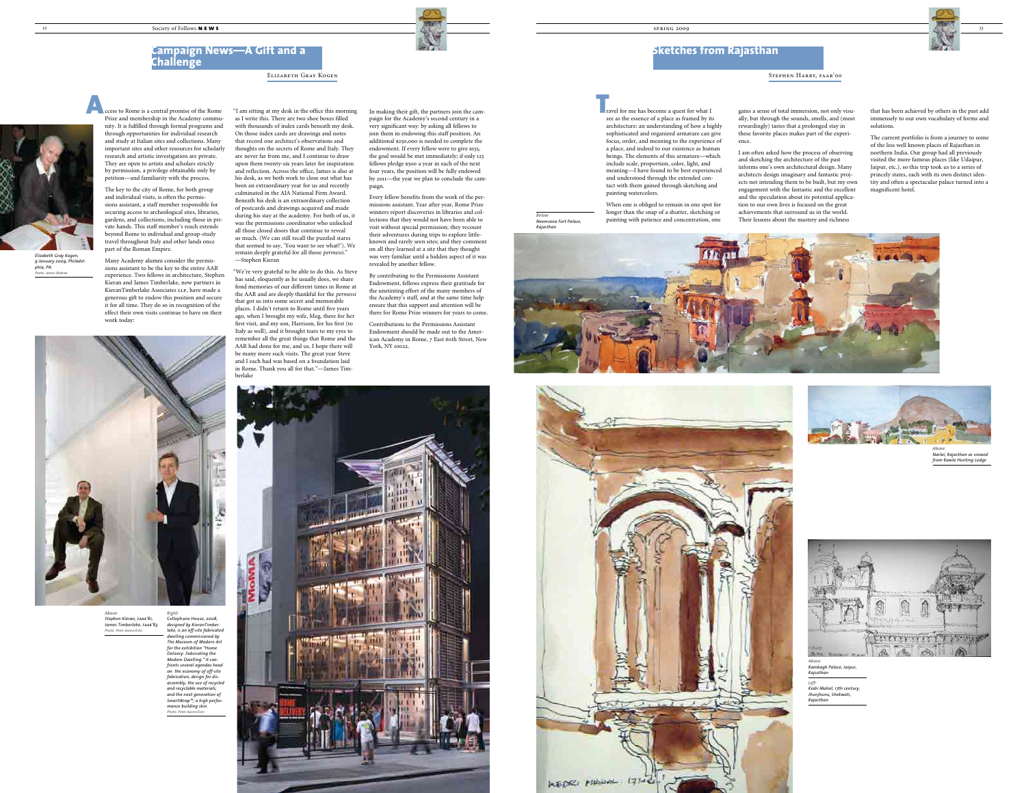







Elizabeth Gray Kogen

## **Campaign News—A Gift and a Challenge**

ccess to Rome is a central promise of the Rome Prize and membership in the Academy community. It is fulfilled through formal programs and through opportunities for individual research and study at Italian sites and collections. Many important sites and other resources for scholarly research and artistic investigation are private. They are open to artists and scholars strictly by permission, a privilege obtainable only by petition—and familiarity with the process.

The key to the city of Rome, for both group and individual visits, is often the permissions assistant, a staff member responsible for securing access to archeological sites, libraries, gardens, and collections, including those in private hands. This staff member's reach extends beyond Rome to individual and group-study travel throughout Italy and other lands once part of the Roman Empire.

Many Academy alumni consider the permissions assistant to be the key to the entire AAR experience. Two fellows in architecture, Stephen Kieran and James Timberlake, now partners in KieranTimberlake Associates LLP, have made a generous gift to endow this position and secure it for all time. They do so in recognition of the effect their own visits continue to have on their work today:

"I am sitting at my desk in the office this morning as I write this. There are two shoe boxes filled with thousands of index cards beneath my desk. On those index cards are drawings and notes that record one architect's observations and thoughts on the secrets of Rome and Italy. They are never far from me, and I continue to draw upon them twenty-six years later for inspiration and reflection. Across the office, James is also at his desk, as we both work to close out what has been an extraordinary year for us and recently culminated in the AIA National Firm Award. Beneath his desk is an extraordinary collection of postcards and drawings acquired and made during his stay at the academy. For both of us, it was the permissions coordinator who unlocked all those closed doors that continue to reveal so much. (We can still recall the puzzled stares that seemed to say, 'You want to see what?'). We remain deeply grateful for all those *permessi*." —Stephen Kieran



*Elizabeth Gray Kogen, 9 January 2009, Philadelphia, PA. Photo: James Bodnar*

ravel for me has become a quest for what I see as the essence of a place as framed by its architecture: an understanding of how a highly sophisticated and organized armature can give focus, order, and meaning to the experience of a place, and indeed to our existence as human beings. The elements of this armature—which include scale, proportion, color, light, and meaning—I have found to be best experienced and understood through the extended contact with them gained through sketching and painting watercolors.  $\begin{bmatrix} 1 \\ 1 \\ 1 \end{bmatrix}$ 

"We're very grateful to be able to do this. As Steve has said, eloquently as he usually does, we share fond memories of our different times in Rome at the AAR and are deeply thankful for the *permessi* that got us into some secret and memorable places. I didn't return to Rome until five years ago, when I brought my wife, Meg, there for her first visit, and my son, Harrison, for his first (to Italy as well), and it brought tears to my eyes to remember all the great things that Rome and the AAR had done for me, and us. I hope there will be many more such visits. The great year Steve and I each had was based on a foundation laid in Rome. Thank you all for that."—James Timberlake

In making their gift, the partners join the campaign for the Academy's second century in a very significant way: by asking all fellows to join them in endowing this staff position. An additional \$250,000 is needed to complete the endowment. If every fellow were to give \$155, the goal would be met immediately; if only 125 fellows pledge \$500 a year in each of the next four years, the position will be fully endowed by 2011—the year we plan to conclude the campaign.

Every fellow benefits from the work of the permissions assistant. Year after year, Rome Prize winners report discoveries in libraries and collections that they would not have been able to visit without special permission; they recount their adventures during trips to explore littleknown and rarely seen sites; and they comment on all they learned at a site that they thought was very familiar until a hidden aspect of it was revealed by another fellow.

By contributing to the Permissions Assistant Endowment, fellows express their gratitude for the unstinting effort of the many members of the Academy's staff, and at the same time help ensure that this support and attention will be there for Rome Prize winners for years to come.

Contributions to the Permissions Assistant Endowment should be made out to the American Academy in Rome, 7 East 60th Street, New York, NY 10022.

### Stephen Harby, faar'00

# **Sketches from Rajasthan**

*Above: Stephen Kieran, faar'81, James Timberlake, faar'83. Photo: Peter Aaron/Esto*

# *Right:*  Cellophane House, *2008, designed by KieranTimber-*

*lake, is an off-site fabricated dwelling commissioned by The Museum of Modern Art for the exhibition "Home Delivery: Fabricating the Modern Dwelling." It confronts several agendas head on: the economy of off-site fabrication, design for disassembly, the use of recycled and recyclable materials, and the next generation of SmartWrap™, a high performance building skin.* 

*Photo: Peter Aaron/Esto*



When one is obliged to remain in one spot for longer than the snap of a shutter, sketching or painting with patience and concentration, one

gains a sense of total immersion, not only visually, but through the sounds, smells, and (most rewardingly) tastes that a prolonged stay in these favorite places makes part of the experience.

I am often asked how the process of observing and sketching the architecture of the past informs one's own architectural design. Many architects design imaginary and fantastic projects not intending them to be built, but my own engagement with the fantastic and the excellent and the speculation about its potential application to our own lives is focused on the great achievements that surround us in the world. Their lessons about the mastery and richness

that has been achieved by others in the past add immensely to our own vocabulary of forms and solutions.

The current portfolio is from a journey to some of the less well known places of Rajasthan in northern India. Our group had all previously visited the more famous places (like Udaipur, Jaipur, etc.), so this trip took us to a series of princely states, each with its own distinct identity and often a spectacular palace turned into a magnificent hotel.





*Above: Narlai, Rajasthan as viewed from Rawla Hunting Lodge*



*Above: Rambagh Palace, Jaipur, Rajsathan Left: Kedri Mahal, 17th century,* 

*Jhunjhunu, Shekwati, Rajasthan*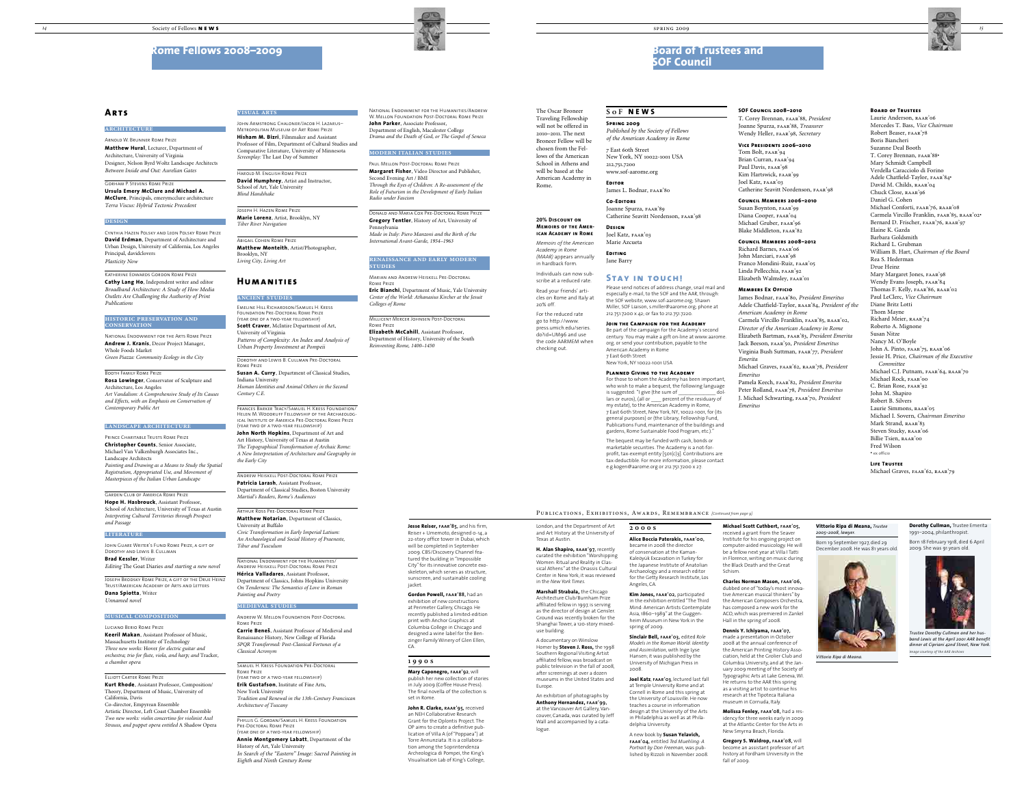The Oscar Broneer Traveling Fellowship will not be offered in 2010–2011. The next Broneer Fellow will be chosen from the Fellows of the American School in Athens and will be based at the American Academy in Rome.

## **Rome Fellows 2008–2009**



### **Arts**

**architecture**

Arnold W. Brunner Rome Prize **Matthew Hural**, Lecturer, Department of Architecture, University of Virginia Designer, Nelson Byrd Woltz Landscape Architects *Between Inside and Out: Aurelian Gates*

Gorham P. Stevens Rome Prize **Ursula Emery McClure and Michael A. McClure**, Principals, emerymcclure architecture *Terra Viscus: Hybrid Tectonic Precedent*

#### **DESIGN**

Cynthia Hazen Polsky and Leon Polsky Rome Prize **David Erdman**, Department of Architecture and Urban Design, University of California, Los Angeles Principal, davidclovers *Plasticity Now*

Katherine Edwards Gordon Rome Prize **Cathy Lang Ho**, Independent writer and editor *Broadband Architecture: A Study of How Media Outlets Are Challenging the Authority of Print Publications*

#### **historic preservation and conservation**

National Endowment for the Arts Rome Prize **Andrew J. Kranis**, Decor Project Manager, Whole Foods Market *Green Piazza: Community Ecology in the City*

#### Booth Family Rome Prize **Rosa Lowinger**, Conservator of Sculpture and Architecture, Los Angeles *Art Vandalism: A Comprehensive Study of Its Causes and Effects, with an Emphasis on Conservation of*

*Contemporary Public Art*

**landscape architecture**

Prince Charitable Trusts Rome Prize **Christopher Counts**, Senior Associate, Michael Van Valkenburgh Associates Inc., Landscape Architects *Painting and Drawing as a Means to Study the Spatial Registration, Appropriated Use, and Movement of Masterpieces of the Italian Urban Landscape*

Garden Club of America Rome Prize **Hope H. Hasbrouck**, Assistant Professor, School of Architecture, University of Texas at Austin *Interpreting Cultural Territories through Prospect and Passage*

#### **literature**

John Guare Writer's Fund Rome Prize, a gift of Dorothy and Lewis B. Cullman **Brad Kessler**, Writer

*Editing* The Goat Diaries *and starting a new novel*

Joseph Brodsky Rome Prize, a gift of the Drue Heinz Trust/American Academy of Arts and Letters **Dana Spiotta**, Writer *Unnamed novel*

#### **musical composition**

Luciano Berio Rome Prize **Keeril Makan**, Assistant Professor of Music, Massachusetts Institute of Technology *Three new works:* Hover *for electric guitar and orchestra; trio for flute, viola, and harp; and* Tracker*, a chamber opera*

Elliott Carter Rome Prize **Kurt Rhode**, Assistant Professor, Composition/ Theory, Department of Music, University of California, Davis Co-director, Empyrean Ensemble Artistic Director, Left Coast Chamber Ensemble *Two new works: violin concertino for violinist Axel Strauss, and puppet opera entitled* A Shadow Opera

PHYLLIS G. GORDAN/SAMUEL H. KRESS FOUNDATION Pre-Doctoral Rome Prize (year one of a two-year fellowship)

#### **visual arts**

John Armstrong Chaloner/Jacob H. Lazarus– Metropolitan Museum of Art Rome Prize **Hisham M. Bizri**, Filmmaker and Assistant Professor of Film, Department of Cultural Studies and Comparative Literature, University of Minnesota *Screenplay:* The Last Day of Summer

Harold M. English Rome Prize **David Humphrey**, Artist and Instructor, School of Art, Yale University *Blind Handshake*

Joseph H. Hazen Rome Prize **Marie Lorenz**, Artist, Brooklyn, NY *Tiber River Navigation*

Abigail Cohen Rome Prize **Matthew Monteith**, Artist/Photographer, Brooklyn, NY *Living City, Living Art* 

### **Humanities**

#### **ancient studies**

Emeline Hill Richardson/Samuel H. Kress Foundation Pre-Doctoral Rome Prize (year one of a two-year fellowship) **Scott Craver**, McIntire Department of Art, University of Virginia *Patterns of Complexity: An Index and Analysis of Urban Property Investment at Pompeii*

Dorothy and Lewis B. Cullman Pre-Doctoral Rome Prize

**Susan A. Curry**, Department of Classical Studies, Indiana University *Human Identities and Animal Others in the Second Century C.E.*

Frances Barker Tracy/Samuel H. Kress Foundation/ Helen M. Woodruff Fellowship of the Archaeological Institute of America Pre-Doctoral Rome Prize (year two of a two-year fellowship)

Laurie Anderson, RAAR'06 Mercedes T. Bass, *Vice Chairman* Robert Beaser, faar'78 Boris Biancheri Suzanne Deal Booth T. Corey Brennan, faar'88• Mary Schmidt Campbell Verdella Caracciolo di Forino Adele Chatfield-Taylor, faar'84• David M. Childs, RAAR'04 Chuck Close, raar'96 Daniel G. Cohen Michael Conforti, FAAR'76, RAAR'08 Carmela Vircillo Franklin, faar'85, raar'02• Bernard D. Frischer, FAAR'76, RAAR'97 Elaine K. Gazda Barbara Goldsmith Richard L. Grubman William B. Hart, *Chairman of the Board* Rea S. Hederman Drue Heinz Mary Margaret Jones, FAAR'98 Wendy Evans Joseph, faar'84 Thomas F. Kelly, faar'86, raar'02 Paul LeClerc, *Vice Chairman* Diane Britz Lotti Thom Mayne Richard Meier, RAAR'74 Roberto A. Mignone Susan Nitze Nancy M. O'Boyle John A. Pinto, FAAR'75, RAAR'06 Jessie H. Price, *Chairman of the Executive Committee* Michael C.J. Putnam, faar'64, raar'70 Michael Rock, faar'00 C. Brian Rose, faar'92 John M. Shapiro Robert B. Silvers Laurie Simmons, RAAR'05 Michael I. Sovern, *Chairman Emeritus* Mark Strand, RAAR'83 Steven Stucky, RAAR'06 Billie Tsien, raar'00 Fred Wilson • ex officio

**Life Trustee** Michael Graves, FAAR'62, RAAR'79

**John North Hopkins**, Department of Art and Art History, University of Texas at Austin *The Topographical Transformation of Archaic Rome: A New Interpretation of Architecture and Geography in the Early City*

Andrew Heiskell Post-Doctoral Rome Prize **Patricia Larash**, Assistant Professor, Department of Classical Studies, Boston University *Martial's Readers, Rome's Audiences*

Richard Barnes, FAAR'06 John Marciari, FAAR'98 Franco Mondini-Ruiz, faar'05 Linda Pellecchia, FAAR'92 Elizabeth Walmsley, faar'01

Arthur Ross Pre-Doctoral Rome Prize **Matthew Notarian**, Department of Classics, University at Buffalo *Civic Transformation in Early Imperial Latium: An Archaeological and Social History of Praeneste, Tibur and Tusculum*

National Endowment for the Humanities/ Andrew Heiskell Post-Doctoral Rome Prize **Hérica Valladares**, Assistant Professor, of Classics, Johns Hopkins Uni *On Tenderness: The Semantics of Love in Roman Painting and Poetry*

Joanne Spurza, faar'89 Catherine Seavitt Nordenson, FAAR'98

#### **medieval studies**

Andrew W. Mellon Foundation Post-Doctoral Rome Prize

**Carrie Bene**&, Assistant Professor of Medieval and Renaissance History, New College of Florida *SPQR Transformed: Post-Classical Fortunes of a Classical Acronym*

Samuel H. Kress Foundation Pre-Doctoral Rome Prize (year two of a two-year fellowship)

**Erik Gustafson**, Institute of Fine Arts, New York University

*Tradition and Renewal in the 13th-Century Franciscan Architecture of Tuscany*

Reiser + Umemoto, designed 0-14, a 22-story office tower in Dubai, which will be completed in September 2009. CBS/Discovery Channel featured the building in "Impossible City" for its innovative concrete exoskeleton, which serves as structure, sunscreen, and sustainable cooling iacket

**Annie Montgomery Labatt**, Department of the History of Art, Yale University *In Search of the "Eastern" Image: Sacred Painting in Eighth and Ninth Century Rome*

National Endowment for the Humanities/Andrew W. Mellon Foundation Post-Doctoral Rome Prize **John Parker**, Associate Professor, Department of English, Macalester College *Drama and the Death of God, or The Gospel of Seneca*

#### **modern italian studies**

Paul Mellon Post-Doctoral Rome Prize **Margaret Fisher**, Video Director and Publisher, Second Evening Art / BMI *Through the Eyes of Children: A Re-assessment of the Role of Futurism in the Development of Early Italian Radio under Fascism*

Donald and Maria Cox Pre-Doctoral Rome Prize **Gregory Tentler**, History of Art, University of Pennsylvani *Made in Italy: Piero Manzoni and the Birth of the* 

*International Avant-Garde, 1954–1963*

#### **renaissance and early modern studies**

Marian and Andrew Heiskell Pre-Doctoral Rome Prize

**Eric Bianchi**, Department of Music, Yale University *Center of the World: Athanasius Kircher at the Jesuit Colleges of Rome*

> **Anthony Hernandez, faar'99,** at the Vancouver Art Gallery, Vancouver, Canada, was curated by Jeff Wall and accompanied by a catalogue

Millicent Mercer Johnsen Post-Doctoral Rome Prize **Elizabeth McCahill**, Assistant Professor,

Department of History, University of the South *Reinventing Rome, 1400–1450*

## **Board of Trustees and SOF Council**



#### **20% Discount on Memoirs of the American Academy in Rome**

*Memoirs of the American Academy in Rome (MAAR)* appears annually in hardback form. Individuals can now sub-

scribe at a reduced rate. Read your friends' articles on Rome and Italy at

20% off.

For the reduced rate go to http://www. press.umich.edu/series. do?id=UM96 and use the code AARMEM when checking out.

#### **Board of Trustees**

#### **SOF Council 2008–2010**

T. Corey Brennan, faar'88, *President* Joanne Spurza, faar'88, *Treasurer* Wendy Heller, faar'98, *Secretary*

#### **Vice Presidents 2006–2010**

Tom Bolt, faar'94 Brian Curran, FAAR'94 Paul Davis, FAAR'98 Kim Hartswick, FAAR'99 Joel Katz, faar'03 Catherine Seavitt Nordenson, faar'98

#### **Council Members 2006–2010**

Susan Boynton, faar'99 Diana Cooper, faar'04 Michael Gruber, faar'96 Blake Middleton, faar'82

#### **Council Members 2008–2012**

#### **Members Ex Officio**

James Bodnar, faar'80, *President Emeritus* Adele Chatfield-Taylor, raar'84, *President of the American Academy in Rome* Carmela Vircillo Franklin, FAAR'85, RAAR'02, *Director of the American Academy in Rome* Elizabeth Bartman, faar'83, *President Emerita* Jack Beeson, faar'50, *President Emeritus* Virginia Bush Suttman, faar'77, *President Emerita*

Michael Graves, faar'62, raar'78, *President Emeritus*

Pamela Keech, faar'82, *President Emerita* Peter Rolland, faar'78, *President Emeritus* J. Michael Schwarting, faar'70, *President Emeritus*

#### **SoF NEWS**

**Spring 2009** *Published by the Society of Fellows of the American Academy in Rome* 7 East 60th Street New York, NY 10022-1001 USA

212.751.7200 www.sof-aarome.org

### **Editor**

James L. Bodnar, FAAR'80

## **Co-Editors**

### **Design**

Joel Katz, faar'03 Marie Azcueta

#### **Editing** Jane Barry

## **Stay in touch!**

Please send notices of address change, snail mail and especially e-mail, to the SOF and the AAR, through: the SOF website, www.sof-aarome.org; Shawn Miller, SOF Liaison, s.miller@aarome.org; phone at 212.751.7200 x 42; or fax to 212.751.7220.

### **Join the Campaign for the Academy**

Be part of the campaign for the Academy's second century. You may make a gift on-line at www.aarome. org, or send your contribution, payable to the American Academy in Rome 7 East 60th Street

New York, NY 10022-1001 USA

### **Planned Giving to the Academy**

For those to whom the Academy has been important, who wish to make a bequest, the following language is suggested: "I give (the sum of lars or euros), (all or \_\_\_\_ percent of the residuary of my estate), to the American Academy in Rome, 7 East 60th Street, New York, NY, 10022-1001, for (its general purposes) or (the Library, Fellowship Fund, Publications Fund, maintenance of the buildings and gardens, Rome Sustainable Food Program, etc.)."

The bequest may be funded with cash, bonds or marketable securities. The Academy is a not-forprofit, tax-exempt entity [501(c)3]. Contributions are tax-deductible. For more information, please contact e.g.kogen@aarome.org or 212.751.7200 x 27.

# **Jesse Reiser, faar'85,** and his firm,

**Gordon Powell, faar'88,** had an exhibition of new constructions at Perimeter Gallery, Chicago. He recently published a limited-edition print with Anchor Graphics at Columbia College in Chicago and designed a wine label for the Benzinger Family Winery of Glen Ellen, CA.

#### **1990s**

**Mary Caponegro, faar'92**, will publish her new collection of stories in July 2009 (Coffee House Press). The final novella of the collection is set in Rome.

**John R. Clarke, raar'95,** received an NEH Collaborative Research Grant for the Oplontis Project. The OP aims to create a definitive publication of Villa A (of "Poppaea") at Torre Annunziata. It is a collaboration among the Soprintendenza Archeologica di Pompei, the King's Visualisation Lab of King's College,

#### PUBLICATIONS, EXHIBITIONS, AWARDS, REMEMBRANCE *[Continued from page 9]*

London, and the Department of Art and Art History at the University of Texas at Austin.

#### **H. Alan Shapiro, raar'97,** recently curated the exhibition "Worshipping Women: Ritual and Reality in Clas-

sical Athens" at the Onassis Cultural Center in New York; it was reviewed in the *New York Times.*

**Marshall Strabala,** the Chicago Architecture Club/Burnham Prize affiliated fellow in 1997, is serving as the director of design at Gensler. Ground was recently broken for the Shanghai Tower, a 120-story mixeduse building.

A documentary on Winslow Homer by **Steven J. Ross,** the 1998 Southern Regional Visiting Artist affiliated fellow, was broadcast on public television in the fall of 2008, after screenings at over a dozen museums in the United States and Europe.

An exhibition of photographs by

## **2000s**

**Alice Boccia Paterakis, faar'00,**

became in 2008 the director of conservation at the Kaman-Kaleöyük Excavation in Turkey for the Japanese Institute of Anatolian Archaeology and a research editor for the Getty Research Institute, Los Angeles, CA.

**Kim Jones, faar'02,** participated in the exhibition entitled "The Third Mind: American Artists Contemplate Asia, 1860–1989" at the Guggenheim Museum in New York in the spring of 2009.

**Sinclair Bell, faar'03,** edited *Role Models in the Roman World: Identity and Assimilation,* with Inge Lyse Hansen; it was published by the University of Michigan Press in 2008.

**Joel Katz**, **faar'03**, lectured last fall at Temple University Rome and at Cornell in Rome and this spring at the University of Louisville. He now teaches a course in information design at the University of the Arts in Philadelphia as well as at Philadelphia University.

A new book by **Susan Yelavich, faar'04,** entitled *Ted Muehling: A Portrait by Don Freeman,* was published by Rizzoli in November 2008.

**Michael Scott Cuthbert, faar'05,** received a grant from the Seaver Institute for his ongoing project on computer-aided musicology. He will be a fellow next year at Villa I Tatti in Florence, writing on music during the Black Death and the Great Schism.

### **Charles Norman Mason, faar'06,**

dubbed one of "today's most innovative American musical thinkers" by the American Composers Orchestra, has composed a new work for the ACO, which was premiered in Zankel Hall in the spring of 2008.

### **Dennis Y. Ichiyama, faar'07,**

made a presentation in October 2008 at the annual conference of the American Printing History Association, held at the Grolier Club and Columbia University, and at the January 2009 meeting of the Society of Typographic Arts at Lake Geneva, WI. He returns to the AAR this spring as a visiting artist to continue his research at the Tipoteca Italiana museum in Cornuda, Italy.

**Molissa Fenley, faar'08,** had a residency for three weeks early in 2009 at the Atlantic Center for the Arts in New Smyrna Beach, Florida.

**Gregory S. Waldrop, faar'08,** will become an assistant professor of art history at Fordham University in the fall of 2009.

**Dorothy Cullman,** Trustee Emerita 1991–2004, philanthropist. Born 18 February 1918, died 6 April

2009. She was 91 years old.



*Trustee Dorothy Cullman and her husband Lewis at the April 2001 AAR benefit dinner at Cipriani 42nd Street, New York. Image courtesy of the AAR Archives*

#### **Vittorio Ripa di Meana,** *Trustee 2005–2008, lawyer.*

Born 19 September 1927, died 29 December 2008. He was 81 years old.



*Vittorio Ripa di Meana.*